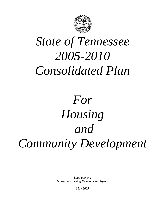

# *State of Tennessee 2005-2010 Consolidated Plan*

# *For Housing and Community Development*

*Lead agency: Tennessee Housing Development Agency* 

*May 2005*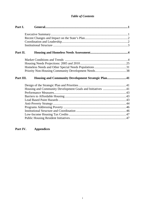## *Table of Contents*

| Part I.   |                                                            |  |
|-----------|------------------------------------------------------------|--|
|           |                                                            |  |
|           |                                                            |  |
|           |                                                            |  |
|           |                                                            |  |
|           |                                                            |  |
| Part II.  |                                                            |  |
|           |                                                            |  |
|           |                                                            |  |
|           |                                                            |  |
|           |                                                            |  |
|           |                                                            |  |
| Part III. | Housing and Community Development Strategic Plan41         |  |
|           |                                                            |  |
|           | Housing and Community Development Goals and Initiatives 41 |  |
|           |                                                            |  |
|           |                                                            |  |
|           |                                                            |  |
|           |                                                            |  |
|           |                                                            |  |
|           |                                                            |  |
|           |                                                            |  |
|           |                                                            |  |
|           |                                                            |  |

## **Part IV. Appendices**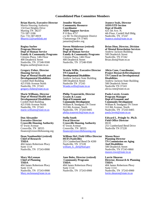#### **Consolidated Plan Committee Members**

**Brian Harris, Executive Director** 

Martin Housing Authority 134 East Heights Drive Marting TN 38237 731-587-3186 Fax: 731-587-0019 Bharris12@earthlink.net

**Regina Surber Program Director Dept of Human Service Family & Community Programs**  Citizens Plaza, 14th Floor 400 Deaderick Street Nashville, TN 37248-9500 Regina.surber@state.tn.us

**Gregory Fisher, Director Housing Services Dept of Mental Health and Developmental Disabilities**  Cordell Hull Building 425 Fifth Avenue North Nashville, TN 37243 gregory.fisher@state.tn.us

**Marie Williams, Director Dept of Mental Health and Developmental Disabilities**  Cordell Hull Building 425 Fifth Avenue North Nashville, TN 37243 marie.williams@state.tn.us

**Don Alexander Executive Director Crossville Housing Authority**  67 Irwin Avenue Crossville, TN 38555 finance@crossvillehousing.org

**Dean Namboothiri (retired) Chief of Research THDA**  404 James Robertson Pkwy Suite 1114 Nashville, TN 37243-0900

**Mary McLennan Chief of Planning THDA**  404 James Robertson Pkwy Suite 1114 Nashville, TN 37243-0900 Mary.mclennan@state.tn.us

**Jennifer Martin Community Resource Coordinator AIDS Support Services**  P O Box 4757 c/o SE Tn Development District Chattanooga TN 37405 jamartin@sedev.org

**Steven Meinbresse (retired) Program Director Dept of Human Service Family & Community Programs**  Citizens Plaza, 14th Floor 400 Deaderick Street Nashville, TN 37248-9500

**Wanda Willis, Executive Director TN Council on Developmental Disabilities**  Andrew Jackson State Building 500 Deadreick Street Nashville TN 37243 Wanda.willis@state.tn.us

**Philip Trauernicht, Director Grants & Loans Dept of Economic and Community Development**  William R. Snodgrass TN Tower 312 8th Avenue, North Nashville, TN 37243-0405 philip.trauernicht@state.tn.us

**Stella South Fiscal Director Crossville Housing Authority**  67 Irwin Avenue Crossville, TN 38555 finance@crossvillehousing.org

**William Dirl, Field Office Director HUD (Nashville)**  251 Cumberland Bend Dr #200 Nashville, TN 37228 william\_h.\_dirl@hud.gov

**Jane Boles, Director (retired) Community Programs THDA**  404 James Robertson Pkwy Suite 1114 Nashville, TN 37243-0900

**Jeanece Seals, Director AIDS/STD Section Dept of Health**   $42\overline{5}$  5th Ave. N. 4th Floor, Cordell Hull Bldg. Nashville, TN 37247 Jeanece.seals@state.tn.us

**Brian Dion, Director, Division of Mental Retardation Services**  Andrew Jackson Building 500 Deaderick Street Nashville, TN 37242 Brian.dion@State.tn.us

**Alicia Cone, Coordinator, Project Research/Development TN Council on Developmental Disabilities**  Andrew Jackson State Building 500 Deaderick Street Nashville TN 37243 alicia.cone@state.tn.us

**Paula Lovett, Grants Program Manager Dept of Economic and Community Development**  William R. Snodgrass TN Tower 312 8th Avenue, North Nashville, TN 37243-0405 paula.lovett@state.tn.us

**Edward L. Pringle Sr. Ph.D. Field Office Director**  HUD 251 Cumberland Bend Drive Nashville TN 37228

**Mason Rowe Planning Director TN Commission on Aging And Disabilities**  500 Deaderick Street Nashville, TN 37243-0860 mason.rowe@state.tn.us

**Lorrie Shearon Director, Research & Planning THDA**  404 James Robertson Pkwy Suite 1114 Nashville, TN 37243-0900 lorrie.shearon@state.tn.us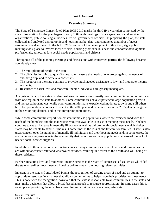## **Part I. General**

## **Executive Summary**

The State of Tennessee Consolidated Plan 2005-2010 marks the third five-year plan completed by the state. Preparation for the plan began in early 2004 with meetings of state agencies, social service organizations, public housing authorities, federal government officials. In preparing the plan, the state collected and analyzed demographic and housing market data, and conducted a number of needs assessments and surveys. In the fall of 2004, as part of the development of this Plan, eight public meetings took place to involve local officials, housing providers, business and economic development professionals, advocates for special needs populations, and citizens.

Throughout all of the planning meetings and discussions with concerned parties, the following became abundantly clear:

- 1. The multiplicity of needs in the state;
- 2. The difficulty in trying to quantify needs, to measure the needs of one group against the needs of another group, and to achieve a consensus;
- 3. The resources in the state continue to provide much needed assistance to low- and moderate-income residents;
- 4. Resources to assist low- and moderate-income individuals are grossly inadequate.

Analysis of data in the state also demonstrates that needs vary greatly from community to community and from one region of the state to another. Some communities have experienced large population growth and increased housing cost while other communities have experienced moderate growth and still others have had population decreases. Evident in the 2000 plan and even more so in the 2005 plan is the growth in the senior populations, and in the immigrant populations.

While some communities report non-existent homeless populations, others are overwhelmed with the needs of the homeless and the inadequate resources available to assist in meeting these needs. Shelters continue to see an increase in mentally ill women as well as children with special needs which shelter staffs may be unable to handle. The result sometimes is the loss of shelter care for families. There is also great concern over the number of mentally ill individuals and their housing needs and, in some cases, the available housing resources in the community that cannot serve these populations because of the lack of needed social service supports.

In addition to these situations, we continue to see many communities, small towns, and rural areas that are without adequate water and wastewater services, resulting in a threat to the health and well being of these residents.

Further impacting low- and moderate- income persons is the State of Tennessee's fiscal crisis which led the state to re-direct much needed housing dollars away from housing related activities.

Inherent in the state's Consolidated Plan is the recognition of varying areas of need and an attempt to appropriate resources in a manner that allows communities to help shape their priorities for those needs. This is done with the recognition, however, that the state is responsible to all communities in the state and must make decisions that allow a broad-based approach to resource appropriation. In some cases this is as simple as providing the most basic need for an individual such as clean, safe water.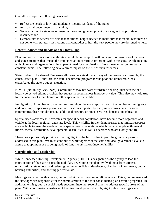Overall, we hope the following pages will:

- Reflect the needs of low- and moderate- income residents of the state;
- Assist local governments in planning;
- Serve as a tool for state government in the ongoing development of strategies to appropriate resources; and
- Demonstrate to federal officials that additional help is needed to make sure that federal resources do not come with statutory restrictions that contradict or hurt the very people they are designed to help.

#### **Recent Changes and Impact on the State's Plan**

Planning for use of resources in the state would be incomplete without some a recognition of the local and state situations that impact the implementation of various programs within the state. While meeting with citizens and organizations the apparent need for coordination of much needed resources was a constant theme. The following have a direct impact on the use of such resources:

State Budget: The state of Tennessee allocates no state dollars to any of the programs covered by the consolidated plan. TennCare, the state's healthcare program for the poor and uninsurable, has exacerbated the state's budget situation.

NIMBY (Not in My Back Yard): Communities may not want affordable housing units because of a locally perceived stigma attached that suggest a potential loss in property value. This also may hold true for the location of group homes or other special needs facilities.

Immigration: A number of communities throughout the state report a rise in the number of immigrants and non-English speaking persons, an observation supported by analysis of census data. In some communities these populations put additional pressure on social services, housing and education.

Special needs advocates: Advocates for special needs populations have become more organized and visible at the local, regional, and state level. This visibility further demonstrates that limited resources are available to meet the needs of these special needs populations which include people with mental illness, mental retardation, developmental disabilities, as well as persons who are elderly and frail.

These descriptions only provide a brief highlight of the factors that impact the groups or persons addressed in this plan. We must continue to work together at the state and local government levels to assure that optimum use is being made of funds to assist low-income families.

### **Coordination and Leadership**

While Tennessee Housing Development Agency (THDA) is designated as the agency to lead the coordination of the state's Consolidated Plan, developing the plan involved input from citizens, organizations, state, local and federal government officials, developers, chambers of commerce, public housing authorities, and housing professionals.

Meetings were held with a core group of individuals consisting of 20 members. This group represented the state agencies responsible for the administration of the four consolidated plan covered programs. In addition to this group, a special needs subcommittee met several times to address specific areas of the plan. With coordination assistance of the nine development districts, eight public meetings were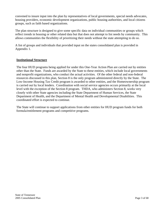convened to insure input into the plan by representatives of local governments, special needs advocates, housing providers, economic development organizations, public housing authorities, and local citizens groups, such as faith based organizations.

The plan structure is designed to give some specific data on individual communities or groups which reflect trends in housing or other related data but that does not attempt to list needs by community. This allows communities the flexibility of prioritizing their needs without the state attempting to do so.

A list of groups and individuals that provided input on the states consolidated plan is provided in Appendix 1.

### **Institutional Structure**

The four HUD programs being applied for under this One-Year Action Plan are carried out by entities other than the State. Funds are awarded by the State to these entities, which include local governments and nonprofit organizations, who conduct the actual activities. Of the other federal and non-federal resources discussed in this plan, Section 8 is the only program administered directly by the State. The Low-Income Housing Tax Credit program is awarded to other entities, and the Homeownership program is carried out by local lenders. Coordination with social service agencies occurs primarily at the local level with the exception of the Section 8 program. THDA, who administers Section 8, works very closely with other State agencies including the State Department of Human Services, the State Department of Health, and the Department of Mental Health and Developmental Disabilities. This coordinated effort is expected to continue.

The State will continue to support applications from other entities for HUD program funds for both formula/entitlement programs and competitive programs.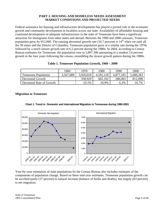### **PART 2. HOUSING AND HOMELESS NEEDS ASSESSMENT MARKET CONDITIONS AND PROJECTED NEEDS**

Federal assistance for housing and infrastructure developments has played a pivotal role in the economic growth and community development in localities across our state. Availability of affordable housing and continued development of adequate infrastructures in the state of Tennessee have been a significant attraction for immigrants from other states and abroad. Between the 1990 and 2000 censuses, Tennessee population grew by 812,000. The ensuing decennial growth rate (16.7 percent) is  $14<sup>th</sup>$  when we rank all the 50 states and the District of Columbia. Tennessee population grew at a similar rate during the 1970s followed by a much slower growth rate of 6.2 percent during the 1980s. In 2004, according to Census Bureau estimates for Tennessee, the population rose to 5,897,306 amounting to a modest 3.6 percent growth in the four years following the census, resembling the slower growth pattern during the 1980s.

|                             | 1960      | 1970      | 1980      | 1990      | 2000      |
|-----------------------------|-----------|-----------|-----------|-----------|-----------|
| <b>Tennessee Population</b> | 3,567,089 | 3,926,018 | 4.591.120 | 4.877.185 | 5,689,283 |
| Decennial Growth            |           | 358,929   | 665,102   | 286,065   | 812,098   |
| Decennial Rate of Growth    |           | 10.1%     | 16.9%     | 6.2%      | 16.7%     |

| Table 1. Tennessee Population Growth, 1960 - 2000 |  |
|---------------------------------------------------|--|
|---------------------------------------------------|--|

#### **Migration to Tennessee**



#### **Chart 1. Trend in Domestic and International Migration in Tennessee during 1990-2001**

Year-by-year estimation of state populations by the Census Bureau also includes estimates of the components of population change. Based on these mid-year estimates, Tennessee population growth can be ascribed partly (37 percent) to natural increase (balance of births and deaths), but largely (63 percent) to net migration.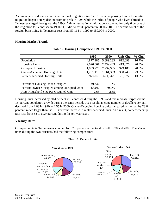A comparison of domestic and international migrations in Chart 1 reveals opposing trends. Domestic migration began a steep decline from its peak in 1994 while the influx of people who lived abroad to Tennessee surged throughout the 1990s. While international migration accounted for only 6 percent of the migration to Tennessee in 1990-91, it did so for 36 percent in 2000-2001. The census count of the foreign born living in Tennessee rose from 59,114 in 1990 to 159,004 in 2000.

#### **Housing Market Trends**

|                                      | 1990      | 2000                    | <b>Unit Chg</b> | $%$ Chg |
|--------------------------------------|-----------|-------------------------|-----------------|---------|
| Population                           | 4,877,185 | 5,689,283               | 812,098         | 16.7%   |
| <b>Housing Units</b>                 | 2,026,067 | 2,439,443               | 413,376         | 20.4%   |
| Occupied Housing                     |           | $1,853,725$   2,232,905 | 379,180         | 20.5%   |
| <b>Owner-Occupied Housing Units</b>  | 1,261,118 | 1,561,363               | 300,245         | 23.8%   |
| <b>Renter-Occupied Housing Units</b> | 592,607   | 671,542                 | 78,935          | 13.3%   |

|  |  | Table 2. Housing Occupancy: 1990 vs. 2000 |  |  |
|--|--|-------------------------------------------|--|--|
|--|--|-------------------------------------------|--|--|

| Percent of Housing Units Occupied           | 91.5% | 91.5% |
|---------------------------------------------|-------|-------|
| Percent Owner-Occupied among Occupied Units | 68.0% | 69.9% |
| Avg. Household Size Per Occupied Unit       | 2.63  | 2.55  |

Housing units increased by 20.4 percent in Tennessee during the 1990s and this increase surpassed the 16-percent population growth during the same period. As a result, average number of dwellers per unit declined from 2.63 in 1990 to 2.55 in 2000. Owner-Occupied housing units increased in number by 23.8 percent, much larger than the 13.3 percent increase in renter-occupied units. As a result, homeownership rate rose from 68 to 69.9 percent during the ten-year span.

### **Vacancy Rates**

Occupied units in Tennessee accounted for 92.5 percent of the total in both 1990 and 2000. The Vacant units during the two censuses had the following composition:



#### **Chart 2. Vacant Units**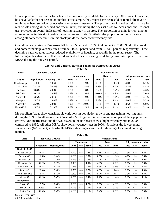Unoccupied units for rent or for sale are the ones readily available for occupancy. Other vacant units may be unavailable for one reason or another: For example, they might have been sold or rented already; or might have been set aside for occasional or seasonal use only. The proportion of housing units that are for rent or sale among all occupied and vacant units, excluding the ones set aside for occasional and seasonal use, provides an overall indicator of housing vacancy in an area. The proportion of units for rent among all rental units in this stock yields the rental vacancy rate. Similarly, the proportion of units for sale among all homeowner units in this stock yields the homeowner vacancy rate.

Overall vacancy rates in Tennessee fell from 4.5 percent in 1990 to 4 percent in 2000. So did the rental and homeownership vacancy rates, from 9.6 to 8.8 percent and from 2.1 to 2 percent respectively. These declining vacancy rates reflect reduced availability of housing, especially in the rental sector. The following tables also reveal that considerable declines in housing availability have taken place in certain MSAs during the ten-year period.

| Area        | 1990-2000 Growth  |                      |      | <b>Vacancy Rates</b> |      |  |               |                      |       |  |      |                       |      |
|-------------|-------------------|----------------------|------|----------------------|------|--|---------------|----------------------|-------|--|------|-----------------------|------|
|             |                   |                      |      | Homeowner            |      |  | <b>Renter</b> |                      |       |  |      | All year-around units |      |
| <b>MSAs</b> | <b>Population</b> | <b>Housing Units</b> | 2000 | $\leq$ ==            | 1990 |  | 2000          | $\leq=\equiv$        | 1990  |  | 2000 | $\leq \equiv \equiv$  | 1990 |
| Chattanooga | 7.4%              | 10.6%                | 1.8% | $\leq=\equiv$        | 1.9% |  | 9.0%          | $\leq \equiv \equiv$ | 11.7% |  | 4.0% | $\leq \equiv \equiv$  | 5.1% |
| Clarksville | 22.2%             | 30.8%                | 2.6% | $\leq \equiv \equiv$ | 2.5% |  | 7.2%          | $\leq \equiv \equiv$ | 8.0%  |  | 4.3% | $\leq \equiv \equiv$  | 4.8% |
| Jackson     | 18.3%             | 20.8%                | 1.7% | $\leq=\equiv$        | 1.8% |  | 8.9%          | $\leq \equiv \equiv$ | 9.2%  |  | 4.0% | $\leq \equiv \equiv$  | 4.3% |
| Tri-Cities  | 10.1%             | 18.6%                | 1.9% | $\leq \equiv \equiv$ | 1.6% |  | 10.0%         | $\leq \equiv \equiv$ | 6.9%  |  | 4.0% | $\leq \equiv \equiv$  | 3.0% |
| Knoxville   | 13.6%             | 20.1%                | 2.2% | $\leq=\equiv$        | 1.9% |  | 11.0%         | $\leq \equiv \equiv$ | 9.0%  |  | 4.9% | $\leq \equiv \equiv$  | 4.1% |
| Memphis     | 15.7%             | 18.0%                | 1.9% | $\leq \equiv \equiv$ | 2.4% |  | 8.1%          | $\leq \equiv \equiv$ | 9.6%  |  | 4.0% | $\leq \equiv \equiv$  | 5.2% |
| Nashville   | 25.0%             | 23.9%                | 1.9% | $\leq \equiv \equiv$ | 2.9% |  | 6.8%          | $\leq \equiv \equiv$ | 11.3% |  | 3.6% | $\leq \equiv \equiv$  | 6.0% |
| Non-MSA     | 15.7%             | 21.3%                | 2.0% | $\leq=\equiv$        | 1.5% |  | 10.1%         | $\leq=\equiv$        | 8.1%  |  | 3.9% | $\leq$ ==             | 3.1% |

**Growth and Vacancy Rates in Tennessee Metropolitan Areas Table 3a.** 

Metropolitan Areas show considerable variations in population growth and net-gain in housing units during the 1990s. In all areas except Nashville MSA, growth in housing units outpaced their population growth. Non-metro areas and the two MSAs in the northeast show a higher vacancy rate in 2000 compared to 1990. All other MSAs show lower vacancy rates in 2000. Notable is the lowest rental vacancy rate (6.8 percent) in Nashville MSA indicating a significant tightening of its rental housing market. **Table 3b.** 

| Area                 | 1990-2000 Growth  | <b>Vacancy Rates</b> |  |      |               |      |  |      |               |       |  |      |               |                       |
|----------------------|-------------------|----------------------|--|------|---------------|------|--|------|---------------|-------|--|------|---------------|-----------------------|
|                      |                   |                      |  |      | Homeowner     |      |  |      | Renter        |       |  |      |               | All year-around units |
|                      | <b>Population</b> | <b>Housing Units</b> |  | 2000 | <==           | 1990 |  | 2000 | $\leq=\equiv$ | 1990  |  | 2000 | $\leq$ ==     | 1990                  |
| <b>Nashville MSA</b> |                   |                      |  |      |               |      |  |      |               |       |  |      |               |                       |
| Cheatham Co          | 32.3%             | 31.2%                |  | 1.2% | $\leq$ ==     | 2.2% |  | 5.8% | $\leq$ ==     | 9.7%  |  | 1.9% | $\leq$ ==     | 3.4%                  |
| Davidson Co          | 11.6%             | 10.4%                |  | 2.0% | $\leq$ ==     | 3.3% |  | 6.5% | $\leq$ ==     | 11.9% |  | 4.0% | $\leq$ ==     | 7.3%                  |
| Dickson Co           | 23.1%             | 24.5%                |  | 1.4% | $\leq$ ==     | 2.3% |  | 7.7% | $\leq$ ==     | 9.0%  |  | 2.9% | $\leq$ ==     | 3.9%                  |
| Robertson Co         | 31.2%             | 32.7%                |  | 1.4% | $\leq$ ==     | 1.9% |  | 4.8% | $\leq$ ==     | 7.7%  |  | 2.1% | $\leq$ ==     | 3.3%                  |
| Rutherford Co        | 53.5%             | 54.3%                |  | 2.1% | $\leq$ ==     | 2.9% |  | 8.9% | $\leq$ ==     | 9.7%  |  | 4.2% | $\leq=\equiv$ | 5.2%                  |
| Sumner Co            | 26.3%             | 29.8%                |  | 1.7% | $\leq$ ==     | 2.7% |  | 6.9% | $\leq$ ==     | 10.8% |  | 3.0% | $\leq$ ==     | 4.8%                  |
| Williamson Co        | 56.3%             | 57.3%                |  | 2.3% | $\leq$ ==     | 2.7% |  | 5.7% | $\leq$ ==     | 10.5% |  | 2.9% | $\leq$ ==     | 4.3%                  |
| Wilson Co            | 31.2%             | 33.3%                |  | 2.0% | $\leq=\equiv$ | 2.4% |  | 8.2% | $\leq$ ==     | 11.0% |  | 3.1% | $\leq=\equiv$ | 4.1%                  |
| <b>Memphis MSA</b>   |                   |                      |  |      |               |      |  |      |               |       |  |      |               |                       |
| Fayette Co           | 12.7%             | 23.0%                |  | 1.9% | $\leq=\equiv$ | 1.2% |  | 5.5% | $\leq$ ==     | 4.6%  |  | 2.5% | $\leq$ ==     | 2.0%                  |
| Shelby Co            | 8.6%              | 10.7%                |  | 1.9% | $\leq$ ==     | 2.5% |  | 8.3% | $\leq$ ==     | 9.9%  |  | 4.2% | $\leq$ ==     | 5.5%                  |
| Tipton Co            | 36.5%             | 35.5%                |  | 2.0% | $\leq=\equiv$ | 2.1% |  | 5.4% | $\leq$ ==     | 7.3%  |  | 2.8% | $\leq$ ==     | 3.5%                  |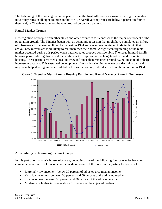The tightening of the housing market is pervasive in the Nashville area as shown by the significant drop in vacancy rates in all eight counties in this MSA. Overall vacancy rates are below 3 percent in four of them and, in Cheatham County, the rate dropped below two percent.

## **Rental Market Trends**

Net-migration of people from other states and other countries to Tennessee is the major component of the population growth. The Nineties began with an economic recession that might have stimulated an inflow of job-seekers to Tennessee. It reached a peak in 1994 and since then continued to dwindle. At their arrival, new movers are more likely to rent than own their home. A significant tightening of the rental market occurred during this period when vacancy rates dropped considerably. The surge in multi-family housing permits during this period marks the market response to this heightened demand for rental housing. These permits reached a peak in 1996 and since then remained around 35,000 in spite of a sharp increase in vacancy. This sustained development of rental housing in the wake of a declining demand may have helped to regain the affordability lost as the vacancy rates declined and hit a bottom in 1994.



**Chart 3. Trend in Multi-Family Housing Permits and Rental Vacancy Rates in Tennessee** 

## **Affordability Shifts among Income Groups**

In this part of our analysis households are grouped into one of the following four categories based on comparisons of household income to the median income of the area after adjusting for household size:

- Extremely low income below 30 percent of adjusted area median income
- Very low income between 30 percent and 50 percent of the adjusted median
- Low income between 50 percent and 80 percent of the adjusted median
- Moderate or higher income above 80 percent of the adjusted median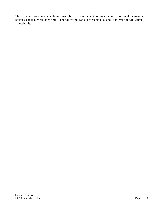These income groupings enable us make objective assessments of area income trends and the associated housing consequences over time. The following Table 4 presents Housing Problems for All Renter Households.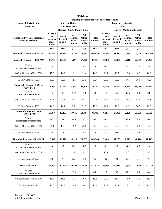|                                                        |                                                                             |                                            |                                           | <b>Table 4</b>                  |                                |                                                      |                                                       |                                           |                                 |                                |
|--------------------------------------------------------|-----------------------------------------------------------------------------|--------------------------------------------|-------------------------------------------|---------------------------------|--------------------------------|------------------------------------------------------|-------------------------------------------------------|-------------------------------------------|---------------------------------|--------------------------------|
|                                                        | <b>Housing Problems for All Renter Households</b><br><b>Source of Data:</b> |                                            |                                           |                                 |                                |                                                      |                                                       |                                           |                                 |                                |
| <b>Name of Jurisdiction:</b><br><b>Tennessee</b>       |                                                                             | <b>CHAS Data Book</b>                      |                                           |                                 |                                | Data Current as of:<br>2000                          |                                                       |                                           |                                 |                                |
|                                                        |                                                                             |                                            | <b>Renters - Single-Family Units</b>      |                                 |                                | <b>Renters - Multi-family Units</b>                  |                                                       |                                           |                                 |                                |
| Household by Type, Income, &<br><b>Housing Problem</b> | <b>Elderly</b><br>1 & 2<br>member<br>house-<br>holds                        | <b>Small</b><br><b>Related</b><br>(2 to 4) | Large<br><b>Related</b><br>(5 or<br>more) | All<br>Other<br>House-<br>holds | <b>Total</b><br><b>Renters</b> | <b>Elderly</b><br>1 & 2<br>member<br>house-<br>holds | <b>Small</b><br><b>Related</b><br>$(2 \text{ to } 4)$ | Large<br><b>Related</b><br>(5 or<br>more) | All<br>Other<br>House-<br>holds | <b>Total</b><br><b>Renters</b> |
|                                                        | (A)                                                                         | (B)                                        | (C)                                       | (D)                             | (E)                            | (F)                                                  | (G)                                                   | (H)                                       | $($ $\Gamma$                    | $(\mathbf{J})$                 |
| Household Income <= 50% MFI                            | 34,780                                                                      | 67,890                                     | 15,330                                    | 48,895                          | 166,895                        | 25,230                                               | 31,615                                                | 4,790                                     | 43,470                          | 105,105                        |
| Household Income <= 30% MFI                            | 20,785                                                                      | 37,150                                     | 8,045                                     | 29,775                          | 95,755                         | 15,980                                               | 19,350                                                | 2,910                                     | 27,010                          | 65,250                         |
| % with<br>substandard/overcrowding                     | 2.0                                                                         | 2.1                                        | 11.1                                      | 2.3                             | 2.9                            | 0.7                                                  | 3.2                                                   | 20.1                                      | 0.8                             | 2.4                            |
| % Cost Burden 30% to 50%                               | 17.3                                                                        | 14.2                                       | 21.1                                      | 11.4                            | 14.6                           | 21.1                                                 | 13.7                                                  | 18.0                                      | 10.3                            | 14.3                           |
| % Cost Burden > 50%                                    | 38.0                                                                        | 56.3                                       | 52.6                                      | 52.0                            | 50.7                           | 27.0                                                 | 50.9                                                  | 47.6                                      | 58.0                            | 47.8                           |
| Household Income >30% to<br>$<=50\%$ MFI               | 13,995                                                                      | 30,740                                     | 7,285                                     | 19,120                          | 71,140                         | 9,250                                                | 12,265                                                | 1,880                                     | 16,460                          | 39,855                         |
| % with<br>substandard/overcrowding                     | 1.2                                                                         | 3.1                                        | 26.9                                      | 1.8                             | 4.8                            | 1.3                                                  | 4.2                                                   | 35.6                                      | 1.3                             | 3.8                            |
| % Cost Burden 30% to 50%                               | 31.1                                                                        | 46.8                                       | 39.1                                      | 45.2                            | 42.5                           | 25.7                                                 | 51.5                                                  | 37.8                                      | 54.6                            | 46.1                           |
| % Cost Burden > 50%                                    | 14.0                                                                        | 14.1                                       | 9.2                                       | 21.7                            | 15.6                           | 24.2                                                 | 10.8                                                  | 4.3                                       | 24.5                            | 19.3                           |
| Household Income >50 to<br>$<=$ 80% MFI                | 10,374                                                                      | 45,265                                     | 10,645                                    | 28,464                          | 94,748                         | 6,155                                                | 17,060                                                | 2,290                                     | 25,075                          | 50,580                         |
| % with<br>substandard/overcrowding                     | 0.7                                                                         | 3.8                                        | 33.9                                      | 2.2                             | 6.4                            | 0.9                                                  | 7.9                                                   | 55.9                                      | 1.4                             | 6.0                            |
| % Cost Burden 30% to 50%                               | 21.1                                                                        | 19.8                                       | 13.7                                      | 25.6                            | 21.0                           | 24.9                                                 | 23.7                                                  | 9.6                                       | 33.8                            | 28.2                           |
| $\%$ Cost Burden ${>}50\%$                             | $2.8\,$                                                                     | 1.6                                        | $1.0\,$                                   | 2.3                             | 1.9                            | 20.4                                                 | $0.9\,$                                               | 0.4                                       | 1.9                             | 3.7                            |
| Household Income >80% MFI                              | 10,840                                                                      | 90,410                                     | 14,915                                    | 50,075                          | 166,240                        | 7,465                                                | 31,259                                                | 2,715                                     | 46,104                          | 87,543                         |
| % with<br>substandard/overcrowding                     | 1.2                                                                         | 3.0                                        | 30.4                                      | 2.0                             | 5.0                            | 2.4                                                  | 6.0                                                   | 62.4                                      | 2.0                             | 5.3                            |
| % Cost Burden 30% to 50%                               | 2.9                                                                         | 1.7                                        | 1.2                                       | 3.1                             | 2.1                            | 13.1                                                 | 1.1                                                   | 0.0                                       | 3.1                             | 3.2                            |
| % Cost Burden > 50%                                    | 0.8                                                                         | 0.1                                        | 0.2                                       | 0.2                             | 0.2                            | 8.2                                                  | $0.0\,$                                               | 0.0                                       | 0.1                             | 0.7                            |
| <b>Total Households</b>                                | 55,994                                                                      | 203,565                                    | 40.890                                    | 127,434                         | 427,883                        | 38,850                                               | 79,934                                                | 9,795                                     | 114,649                         | 243,228                        |
| % with<br>substandard/overcrowding                     | 1.4                                                                         | 3.1                                        | 26.9                                      | 2.1                             | 4.8                            | 1.2                                                  | 5.5                                                   | 43.2                                      | 1.5                             | 4.4                            |
| % Cost Burden 30% to 50%                               | 18.7                                                                        | 14.8                                       | 15.1                                      | 16.4                            | 15.8                           | 21.2                                                 | 16.7                                                  | 14.9                                      | 18.9                            | 18.4                           |
| % Cost Burden > 50                                     | 18.3                                                                        | 12.8                                       | 12.3                                      | 16.0                            | 14.4                           | 21.7                                                 | 14.2                                                  | 15.1                                      | 17.6                            | 17.0                           |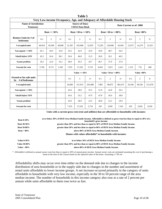|                                                    |                                                  |                         |        |        |                                                 |                          |         |                           | Very Low-income Occupancy, Age, and Adequacy of Affordable Housing Stock |         |               |         |  |
|----------------------------------------------------|--------------------------------------------------|-------------------------|--------|--------|-------------------------------------------------|--------------------------|---------|---------------------------|--------------------------------------------------------------------------|---------|---------------|---------|--|
|                                                    | <b>Name of Jurisdiction:</b><br><b>Tennessee</b> |                         |        |        | <b>Source of Data:</b><br><b>CHAS Data Book</b> |                          |         | Data Current as of: 2000  |                                                                          |         |               |         |  |
|                                                    |                                                  | <b>Rent</b> $\leq 30\%$ |        |        |                                                 | Rent > 30 to $\leq 50\%$ |         | Rent $>50$ to $\leq 80\%$ |                                                                          |         | $Rent > 80\%$ |         |  |
| Renters Units by # of<br>bedrooms                  | $0-1$                                            | $\overline{2}$          | $3+$   | $0-1$  | 2                                               | $3+$                     | $0 - 1$ | 2                         | $3+$                                                                     | $0 - 1$ | 2             | $3+$    |  |
| # occupied units                                   | 46.010                                           | 56,500                  | 49.890 | 51,295 | 105.900                                         | 52,955                   | 72,295  | 129,840                   | 62,945                                                                   | 15,975  | 14,270        | 13,555  |  |
| $%$ occupants <= 30 $%$                            | 65.1                                             | 44.0                    | 33.0   | 54.5   | 42.9                                            | 35.9                     | 59.8    | 48.7                      | 44.5                                                                     |         |               |         |  |
| %built before 1970                                 | 45.3                                             | 54.4                    | 58.1   | 50.4   | 46.8                                            | 51.9                     | 26.8    | 30.1                      | 40.5                                                                     |         |               |         |  |
| %some problem                                      | 29.2                                             | 22.0                    | 16.2   | 46.0   | 39.3                                            | 34.7                     | 46.7    | 37.9                      | 37.6                                                                     |         |               |         |  |
| #vacant for rent                                   | 3,740                                            | 9,715                   | 5,345  | 7,555  | 17,220                                          | 5,710                    | 4,650   | 7,815                     | 2,415                                                                    | 1.155   | 710           | 490     |  |
|                                                    |                                                  |                         |        |        | Value $\leq 50\%$                               |                          |         | Value $>50$ to $<=80\%$   |                                                                          |         | Value $>80\%$ |         |  |
| <b>Owned or for-sale units</b><br>by # of bedrooms |                                                  |                         |        | $0-1$  | 2                                               | $3+$                     | $0-1$   | 2                         | $3+$                                                                     | $0 - 1$ | 2             | $3+$    |  |
| # occupied units                                   |                                                  |                         |        | 16,600 | 151,915                                         | 291,800                  | 7,985   | 98,875                    | 402,475                                                                  | 10.100  | 69,245        | 512,470 |  |
| $%$ occupants <= 30 $%$                            |                                                  |                         |        | 45.6   | 38.0                                            | 25.5                     | 51.8    | 42.8                      | 26.2                                                                     |         |               |         |  |
| %built before 1970                                 |                                                  |                         |        | 45.6   | 53.2                                            | 47.9                     | 47.8    | 56.0                      | 38.0                                                                     |         |               |         |  |
| %some problem                                      |                                                  |                         |        | 43.0   | 28.9                                            | 25.5                     | 40.8    | 23.3                      | 18.4                                                                     |         |               |         |  |
| #vacant for rent                                   |                                                  |                         |        | 7,555  | 17,220                                          | 5,710                    | 245     | 2,995                     | 7,165                                                                    | 435     | 2,020         | 9,550   |  |

**Table 5** 

**Units with a current gross rent (rent and utilities) that are affordable to households with incomes:** 

| Rent $0-30\%$          | at or below 30% of HUD Area Median Family Income. Affordable is defined as gross rent less than or equal to 30% of a<br>household's gross income. |
|------------------------|---------------------------------------------------------------------------------------------------------------------------------------------------|
| <b>Rent 30-50%</b>     | greater than 30% and less than or equal to 50% of HUD Area Median Family Income.                                                                  |
| <b>Rent 50-80%</b>     | greater than 50% and less than or equal to 80% of HUD Area Median Family Income.                                                                  |
| $\mathrm{Rent} > 80\%$ | above 80% of HUD Area Median Family Income.                                                                                                       |
|                        | Homes with values affordable* to households with incomes:                                                                                         |
| <b>Value 0-50%</b>     | at or below 50% of HUD Area Median Family Income                                                                                                  |
| <b>Value 50-80%</b>    | greater than 50% and less than or equal to 80% of HUD Area Median Family Income.                                                                  |
| Value $>80\%$          | above 80% of HUD Area Median Family Income.                                                                                                       |

\* Affordable is defined as annual owner costs less than or equal to 30% of annual gross income. Annual owner costs are estimated assuming the cost of purchasing a home at the time of the Census based on the reported value of the home. Assuming a 7.9% int

Affordability shifts may occur over time either on the demand side due to changes in the income distribution of area households or in the supply side due to changes in the number and assortment of rental units affordable to lower income groups. A net increase occurred primarily in the category of units affordable to households with very low income, especially in the 30 to 50 percent range of the area median income. The number of households in this income category also rose at a rate of 2 percent per annum while units affordable to them rose twice as fast.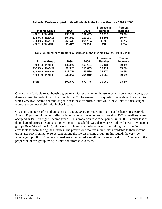| Table 6a. Renter-occupied Units Affordable to the Income Groups - 1990 & 2000 |         |         |               |                 |  |  |  |  |  |  |
|-------------------------------------------------------------------------------|---------|---------|---------------|-----------------|--|--|--|--|--|--|
|                                                                               |         |         | Increase in   | <b>Percent</b>  |  |  |  |  |  |  |
| <b>Income Group</b>                                                           | 1990    | 2000    | <b>Number</b> | <b>Increase</b> |  |  |  |  |  |  |
| $<$ 30% of HAMFI                                                              | 134,152 | 152,465 | 18,313        | 13.7%           |  |  |  |  |  |  |
| 30-50% of HAMFI                                                               | 154,937 | 210,243 | 55,306        | 35.7%           |  |  |  |  |  |  |
| 50-80% of HAMFI                                                               | 260,491 | 265,184 | 4,693         | 1.8%            |  |  |  |  |  |  |
| $>80\%$ of HAMFI                                                              | 43,097  | 43,854  | 757           | 1.8%            |  |  |  |  |  |  |
|                                                                               |         |         |               |                 |  |  |  |  |  |  |
| Table 6b. Number of Renter Households in the Income Groups - 1990 & 2000      |         |         |               |                 |  |  |  |  |  |  |
|                                                                               |         |         | Increase in   | <b>Percent</b>  |  |  |  |  |  |  |
| <b>Income Group</b>                                                           | 1990    | 2000    | <b>Number</b> | <b>Increase</b> |  |  |  |  |  |  |
| $<$ 30% of HAMFI                                                              | 146,023 | 161,154 | 15,131        | 10.4%           |  |  |  |  |  |  |
| 30-50% of HAMFI                                                               | 92,942  | 111,053 | 18,111        | 19.5%           |  |  |  |  |  |  |
| 50-80% of HAMFI                                                               | 122,746 | 145,520 | 22,774        | 18.6%           |  |  |  |  |  |  |
| $>80\%$ of HAMFI                                                              | 230,966 | 254,019 | 23,053        | 10.0%           |  |  |  |  |  |  |
|                                                                               |         |         |               |                 |  |  |  |  |  |  |
| Total                                                                         | 592,677 | 671,746 | 79,069        | 13.3%           |  |  |  |  |  |  |
|                                                                               |         |         |               |                 |  |  |  |  |  |  |

Given that affordable rental housing grew much faster than renter households with very low income, was there a substantial reduction in their rent burden? The answer to this question depends on the extent to which very low income households get to rent these affordable units while these units are also sought vigorously by households with higher income.

Occupancy patterns of rental units in 1990 and 2000 are provided in Chart 4 and Chart 5, respectively. Almost 46 percent of the units affordable to the lowest income group, (less than 30% of median), were occupied in 1990 by higher income groups. This proportion rose to 53 percent in 2000. A similar loss of their share of affordable units to higher income households was also experienced by the very low income group (30 to 50% of median), who were unable to reap the benefits of substantial growth in units affordable to them during the Nineties. The proportion who live in units not affordable to their income group also rose from 50 to 56 percent among the lowest income group. In this regard, the very low income group (30 to 50 percent of median) experienced a small improvement, a drop of 2 percent in the proportion of this group living in units not affordable to them.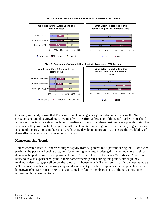

Our analysis clearly shows that Tennessee rental housing stock grew substantially during the Nineties (14.5 percent) and this growth occurred mostly in the affordable sector of the rental market. Households in the very low income categories failed to realize any gains from these positive developments during the Nineties as they lost much of the gains in affordable rental stock to groups with relatively higher income in spite of the provisions, in the subsidized housing development programs, to ensure the availability of these affordable units for low income occupancy.

## **Homeownership Trends**

Homeownership rates in Tennessee surged rapidly from 56 percent to 64 percent during the 1950s fueled partly by the post-war housing programs for returning veterans. Modest gains in homeownership since then have helped the rate to creep gradually to a 70 percent level by the year 2000. African American households also experienced gains in their homeownership rates during this period, although they retained a historical gap well below the rates for all households in Tennessee. Hispanics, whose numbers in Tennessee have been increasing very rapidly in recent years, have experienced a steep decline in their homeownership rates since 1980. Unaccompanied by family members, many of the recent Hispanic movers might have opted to rent.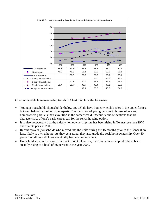

Other noticeable homeownership trends in Chart 6 include the following:

- Younger households (householder below age 35) do have homeownership rates in the upper forties, but well below their older counterparts. The transition of young persons to householders and homeowners parallels their evolution in the career world. Insecurity and relocations that are characteristics of one's early career call for the rental housing option.
- It is also noteworthy that the elderly homeownership rate has been rising in Tennessee since 1970 and is at its peak in 2000.
- Recent movers (households who moved into the units during the 15 months prior to the Census) are least likely to own a home. As they get settled, they also gradually seek homeownership. Over 80 percent of all householders eventually become homeowners.
- Householders who live alone often opt to rent. However, their homeownership rates have been steadily rising to a level of 56 percent in the year 2000.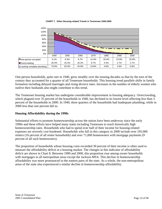

**CHART 7. Other Housing-related Trends in Tennessee 1940-2000**

One-person households, quite rare in 1940, grew steadily over the ensuing decades so that by the turn of the century they accounted for a quarter of all Tennessee households. This housing trend parallels shifts in family formation including delayed marriages and rising divorce rates. Increases in the number of elderly women who outlive their husbands also might contribute to this trend.

The Tennessee housing market has undergone considerable improvement in housing adequacy. Overcrowding, which plagued over 35 percent of the households in 1940, has declined to its lowest level affecting less than 3 percent of the households in 2000. In 1940, three quarters of the households had inadequate plumbing, while in 2000 less than one percent did so.

### **Housing Affordability during the 1990s**

Substantial efforts to promote homeownership across the nation have been underway since the early 1990s and these efforts have helped many states including Tennessee to reach historically high homeownership rates. Households who had to spend over half of their income for housing-related expenses are severely cost burdened. Households who fall in this category in 2000 include over 105,000 renters (16 percent of all renter households) and over 71,000 homeowners with mortgage payments (9 percent of all such homeowners).

The proportion of households whose housing costs exceeded 30 percent of their income is often used to measure the affordability deficit in a housing market. The changes in this indicator of affordability deficit are shown in Chart 8. Between 1990 and 2000, this proportion rose among owner households with mortgages in all metropolitan areas except the Jackson MSA. This decline in homeownership affordability was more pronounced in the eastern parts of the state. As a whole, the non-metropolitan areas of the state also experienced a similar decline in homeownership affordability.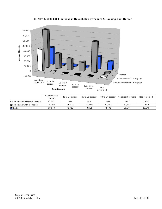

#### **CHART 8. 1990-2000 Increase in Households by Tenure & Housing Cost Burden**

|                                   | Less than 20<br>percent | 20 to 24 percent | 25 to 29 percent |        | 30 to 34 percent 35 percent or more | Not computed |
|-----------------------------------|-------------------------|------------------|------------------|--------|-------------------------------------|--------------|
| $\Box$ homeowner without mortgage | 43,347                  | 483              | $-904$           | -988   | $-297$                              | 2,957        |
| $\Box$ homeowner with mortgage    | 78.102                  | 30.935           | 22.589           | 17.793 | 60.703                              | 969,         |
| I⊟Renter                          | 36.548                  | 2.623            | 3.211            | 2.491  | 26.047                              | 17.343       |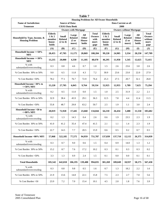|                                                        |                                                      |                                            |                                           | <b>Table 7</b>                  |                                                 |                                                      |                                            |                                           |                                 |                                                           |
|--------------------------------------------------------|------------------------------------------------------|--------------------------------------------|-------------------------------------------|---------------------------------|-------------------------------------------------|------------------------------------------------------|--------------------------------------------|-------------------------------------------|---------------------------------|-----------------------------------------------------------|
| <b>Name of Jurisdiction:</b>                           |                                                      | <b>Source of Data:</b>                     |                                           |                                 |                                                 | <b>Housing Problems for All Owner Households</b>     | Data Current as of:                        |                                           |                                 |                                                           |
| <b>Tennessee</b>                                       |                                                      | <b>CHAS Data Book</b>                      |                                           |                                 |                                                 |                                                      | 2000                                       |                                           |                                 |                                                           |
|                                                        |                                                      |                                            | <b>Owners with Mortgage</b>               |                                 |                                                 |                                                      |                                            | <b>Owners without Mortgage</b>            |                                 |                                                           |
| Household by Type, Income, &<br><b>Housing Problem</b> | <b>Elderly</b><br>1 & 2<br>member<br>house-<br>holds | <b>Small</b><br><b>Related</b><br>(2 to 4) | Large<br><b>Related</b><br>(5 or<br>more) | All<br>Other<br>House-<br>holds | Total<br><b>Owners</b><br>with<br>mort-<br>gage | <b>Elderly</b><br>1 & 2<br>member<br>house-<br>holds | <b>Small</b><br><b>Related</b><br>(2 to 4) | Large<br><b>Related</b><br>(5 or<br>more) | All<br>Other<br>House-<br>holds | <b>Total</b><br><b>Owners</b><br>without<br>mort-<br>gage |
|                                                        | (A)                                                  | (B)                                        | (C)                                       | (D)                             | (E)                                             | (F)                                                  | (G)                                        | (H)                                       | (I)                             | $(\mathbf{J})$                                            |
| Household Income <= 50%<br><b>MFI</b>                  | 28,455                                               | 47,705                                     | 11,175                                    | 20,869                          | 108,204                                         | 99,220                                               | 24,905                                     | 3,334                                     | 20,250                          | 147,709                                                   |
| Household Income <= 30%<br><b>MFI</b>                  | 13,235                                               | 20,000                                     | 4,330                                     | 11,105                          | 48,670                                          | 46,295                                               | 11,950                                     | 1,545                                     | 12,625                          | 72,415                                                    |
| % with<br>substandard/overcrowding                     | 0.3                                                  | 0.8                                        | 4.6                                       | 0.7                             | 1.0                                             | 1.5                                                  | 2.6                                        | 23.6                                      | 3.8                             | 2.6                                                       |
| % Cost Burden 30% to 50%                               | 9.0                                                  | 6.5                                        | 11.8                                      | 4.3                             | 7.2                                             | 30.9                                                 | 23.6                                       | 23.0                                      | 22.0                            | 27.9                                                      |
| % Cost Burden > 50%                                    | 78.2                                                 | 77.1                                       | 76.7                                      | 72.9                            | 76.4                                            | 25.3                                                 | 27.5                                       | 20.7                                      | 32.1                            | 26.8                                                      |
| Household Income $>30\%$ to<br>$<=50\%$ MFI            | 15,220                                               | 27,705                                     | 6,845                                     | 9,764                           | 59,534                                          | 52,925                                               | 12,955                                     | 1,789                                     | 7,625                           | 75,294                                                    |
| % with<br>substandard/overcrowding                     | 0.2                                                  | 0.5                                        | 11.0                                      | 0.0                             | 1.5                                             | 1.0                                                  | 2.5                                        | 31.9                                      | 2.2                             | 2.1                                                       |
| % Cost Burden 30% to 50%                               | 32.9                                                 | 38.4                                       | 45.9                                      | 29.1                            | 36.3                                            | 12.5                                                 | 7.8                                        | 4.4                                       | 12.4                            | 11.5                                                      |
| % Cost Burden $>50\%$                                  | 55.8                                                 | 48.7                                       | 29.8                                      | 63.2                            | 50.7                                            | 2.5                                                  | 1.9                                        | 1.1                                       | 3.0                             | 2.4                                                       |
| Household Income > 50 to<br>$<=$ 80% MFI               | 20,019                                               | 72,920                                     | 17,445                                    | 23,660                          | 134,044                                         | 64,210                                               | 26,434                                     | 3,488                                     | 11,550                          | 105,682                                                   |
| % with<br>substandard/overcrowding                     | 0.2                                                  | 1.3                                        | 14.3                                      | 0.4                             | 2.6                                             | 0.6                                                  | 1.9                                        | 23.5                                      | 2.3                             | 1.9                                                       |
| % Cost Burden 30% to 50%                               | 41.0                                                 | 41.2                                       | 35.4                                      | 47.4                            | 41.5                                            | 2.1                                                  | 1.1                                        | 1.4                                       | 2.3                             | 1.9                                                       |
| % Cost Burden > 50%                                    | 22.7                                                 | 14.5                                       | 7.7                                       | 20.5                            | 15.9                                            | 0.6                                                  | 0.5                                        | 0.2                                       | 0.7                             | 0.5                                                       |
| Household Income >80% MFI                              | 57,068                                               | 522,185                                    | 77,575                                    | 94,959                          | 751,787                                         | 137,839                                              | 137,710                                    | 12,115                                    | 26,375                          | 314,039                                                   |
| % with<br>substandard/overcrowding                     | 0.3                                                  | 0.7                                        | 9.0                                       | 0.6                             | 1.5                                             | 0.4                                                  | 0.9                                        | 14.0                                      | 1.3                             | 1.2                                                       |
| % Cost Burden 30% to 50%                               | 15.2                                                 | 8.7                                        | 7.6                                       | 17.2                            | 10.2                                            | 0.3                                                  | 0.1                                        | 0.3                                       | 0.3                             | 0.2                                                       |
| % Cost Burden > 50%                                    | 3.3                                                  | 1.3                                        | 0.9                                       | 2.4                             | 1.5                                             | 0.1                                                  | $0.0\,$                                    | $0.0\,$                                   | 0.1                             | 0.1                                                       |
| <b>Total Households</b>                                | 105,542                                              | 642,810                                    | 106,195                                   | 139,488                         | 994,035                                         | 301,269                                              | 189,049                                    | 18,937                                    | 58,175                          | 567,430                                                   |
| % with<br>substandard/overcrowding                     | 0.3                                                  | $0.8\,$                                    | 9.8                                       | 0.5                             | 1.6                                             | 0.7                                                  | 1.3                                        | 18.2                                      | 2.2                             | 1.6                                                       |
| % Cost Burden 30% to 50%                               | 21.9                                                 | 13.6                                       | 14.8                                      | 22.1                            | 15.8                                            | 7.5                                                  | 2.3                                        | 2.7                                       | 7.0                             | 5.6                                                       |
| % Cost Burden > 50                                     | 23.9                                                 | 7.2                                        | 7.0                                       | 15.4                            | 10.1                                            | 4.5                                                  | 2.0                                        | 1.8                                       | 7.6                             | 3.9                                                       |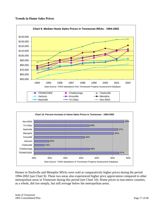#### **Trends in Home Sales Prices**





Homes in Nashville and Memphis MSAs were sold at comparatively higher prices during the period 1994-2002 (see Chart 9). These two areas also experienced higher price appreciation compared to other metropolitan areas in Tennessee during this period (see Chart 10). Home prices in non-metro counties, as a whole, did rise steeply, but still average below the metropolitan areas.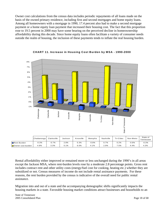Owner cost calculations from the census data includes periodic repayments of all loans made on the basis of the owned primary residence, including first and second mortgages and home equity loans. Among all homeowners with a mortgage in 1990, 17.4 percent also had to make a second mortgage payment or a home equity loan payment that increased their housing cost. The fact that this proportion rose to 19.5 percent in 2000 may have some bearing on the perceived decline in homeownership affordability during this decade. Since home equity loans often facilitate a variety of consumer needs outside the realm of housing, the inclusion of these payments tends to inflate the real housing burden.



#### **CHART 11. Increase in Housing Cost Burden by MSA - 1990-2000**

|                          | Chattanooga | Clarksville | Jackson | Knoxville | Memphis | Nashville | <b>Tri-Cities</b> | Non-Metro | State of<br>Tennessee |
|--------------------------|-------------|-------------|---------|-----------|---------|-----------|-------------------|-----------|-----------------------|
| <b>D</b> Rent Burden     | $-0.3%$     | $-0.7%$     | 2.8%    | 0.3%      | $-0.8%$ | 0.7%      | J.2%              | $-0.6%$   | $-0.3%$               |
| $\Box$ Owner cost burden | 4.9%        | 3.3%        | 0.1%    | 6.0%      | 4.1%    | 2.9%      | $.5\%$            | 4.4%      | 4.3%                  |

Rental affordability either improved or remained more or less unchanged during the 1990's in all areas except the Jackson MSA, where rent-burden levels rose by a moderate 2.8 percentage points. Gross rent includes contract rent and other utility costs (energy/fuel cost for cooking, heating etc.) whether they are subsidized or not. Census measures of income do not include rental assistance payments. For these reasons, the rent burden provided by the census is indicative of the overall need for public rental assistance.

Migration into and out of a state and the accompanying demographic shifts significantly impacts the housing markets in a state. Favorable housing market conditions attract businesses and households to an

State of Tennessee 2005 Consolidated Plan Page 18 of 68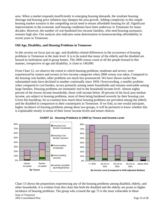area. When a market responds insufficiently to emerging housing demands, the resultant housing shortage and housing price inflation may dampen the area growth. Adding complexity to this simple housing market scenario is the compelling social need to ensure affordable housing for all. Significant improvements in the economic and housing conditions have been underway in Tennessee for many decades. However, the number of cost-burdened low-income families, who need housing assistance, remains high also. Our analysis also indicates some deterioration in homeownership affordability in recent years in Tennessee.

### **Old Age, Disability, and Housing Problems in Tennessee**

In this section we focus just on age- and disability-related differences in the occurrence of housing problems in Tennessee at the state level. It is to be noted that many of the elderly and the disabled are housed in institutions and in group homes. The 2000 census count of all the people housed in this manner, irrespective of age and disability, is close to 149,000.

From Chart 12, we observe the extent to which housing problems, moderate and severe, were experienced by renters and owners in low-income categories when 2000 census was taken. Compared to the housing cost burden, other problems are much less pronounced. We have shown earlier that substandard units have declined in number continually since 1950. Overcrowding, a smaller problem when compared to cost burden, occurs primarily among renter households and remains noticeable among large families. Housing problems are intimately tied to the household income level. Almost eighty percent of the lowest income households, those with income below 30 percent of the local area median income, are subject to housing problems, most of them being burdened severely by their housing cost. Given this backdrop, let us examine how much these housing problems are prevalent among the elderly and the disabled in comparison to their counterparts in Tennessee. If we find, as one would anticipate, higher incidence of housing problems among these two groups, it will be pertinent to know whether this is explainable mostly in terms of their lower income levels and tenure choices.





Chart 13 shows the proportions experiencing any of the housing problems among disabled, elderly, and other households. It is evident from this chart that both the disabled and the elderly are prone to higher incidence of housing problems. The group who crossed the age 75 is the most vulnerable to these

State of Tennessee 2005 Consolidated Plan Page 19 of 68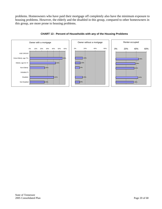problems. Homeowners who have paid their mortgage off completely also have the minimum exposure to housing problems. However, the elderly and the disabled in this group, compared to other homeowners in this group, are more prone to housing problems.



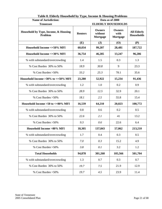| <b>Name of Jurisdiction:</b>                    |                | Data as of 2000                      |                                   |                                         |  |  |  |  |
|-------------------------------------------------|----------------|--------------------------------------|-----------------------------------|-----------------------------------------|--|--|--|--|
| <b>Tennessee</b>                                |                |                                      | <b>ELDERLY HOUSEHOLDS</b>         |                                         |  |  |  |  |
| Household by Type, Income, & Housing<br>Problem | <b>Renters</b> | <b>Owners</b><br>without<br>Mortgage | <b>Owners</b><br>with<br>Mortgage | <b>All Elderly</b><br><b>Households</b> |  |  |  |  |
|                                                 | (E)            | $(\mathbf{J})$                       | (O)                               | (P)                                     |  |  |  |  |
| Household Income <= 50% MFI                     | 60,034         | 99,207                               | 28,481                            | 187,722                                 |  |  |  |  |
| Household Income <= 30% MFI                     | 36,754         | 46,285                               | 13,247                            | 96,286                                  |  |  |  |  |
| % with substandard/overcrowding                 | 1.4            | 1.5                                  | 0.3                               | 1.3                                     |  |  |  |  |
| % Cost Burden 30% to 50%                        | 18.9           | 30.8                                 | 9                                 | 23.3                                    |  |  |  |  |
| % Cost Burden > 50%                             | 33.2           | 25.3                                 | 78.1                              | 35.6                                    |  |  |  |  |
| Household Income $>30\%$ to $<=50\%$ MFI        | 23,280         | 52,922                               | 15,234                            | 91,436                                  |  |  |  |  |
| % with substandard/overcrowding                 | 1.2            | 1.0                                  | 0.2                               | 0.9                                     |  |  |  |  |
| % Cost Burden 30% to 50%                        | 28.9           | 12.5                                 | 32.9                              | 20.1                                    |  |  |  |  |
| % Cost Burden > 50%                             | 18.1           | 2.5                                  | 55.8                              | 15.4                                    |  |  |  |  |
| Household Income $>50$ to $<=80\%$ MFI          | 16,539         | 64,210                               | 20,023                            | 100,772                                 |  |  |  |  |
| % with substandard/overcrowding                 | 0.8            | 0.6                                  | 0.2                               | 0.5                                     |  |  |  |  |
| % Cost Burden 30% to 50%                        | 22.6           | 2.1                                  | 41                                | 13.2                                    |  |  |  |  |
| % Cost Burden > 50%                             | 9.3            | 0.6                                  | 22.6                              | 6.4                                     |  |  |  |  |
| Household Income >80% MFI                       | 18,305         | 137,843                              | 57,062                            | 213,210                                 |  |  |  |  |
| % with substandard/overcrowding                 | 1.7            | 0.4                                  | 0.3                               | 0.5                                     |  |  |  |  |
| % Cost Burden 30% to 50%                        | 7.0            | 0.3                                  | 15.2                              | 4.9                                     |  |  |  |  |
| % Cost Burden > 50%                             | 3.8            | 0.1                                  | 3.2                               | 1.2                                     |  |  |  |  |
| <b>Total Households</b>                         | 94,878         | 301,260                              | 105,566                           | 501,704                                 |  |  |  |  |
| % with substandard/overcrowding                 | 1.3            | 0.7                                  | 0.3                               | 0.7                                     |  |  |  |  |
| % Cost Burden 30% to 50%                        | 19.7           | 7.5                                  | 21.9                              | 12.9                                    |  |  |  |  |
| % Cost Burden > 50%                             | 19.7           | 4.5                                  | 23.9                              | 11.4                                    |  |  |  |  |

|  | Table 8. Elderly Household by Type, Income & Housing Problems |  |  |
|--|---------------------------------------------------------------|--|--|
|  |                                                               |  |  |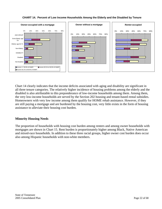

## **CHART 14. Percent of Low Income Households Among the Elderly and the Disabled by Tenure**

Chart 14 clearly indicates that the income deficits associated with aging and disability are significant in all three tenure categories. The relatively higher incidence of housing problems among the elderly and the disabled is also attributable to this preponderance of low-income households among them. Among them, the very low-income households are served by the Section 202 housing and tenant-based rental subsidies. Homeowners with very low income among them qualify for HOME rehab assistance. However, if they are still paying a mortgage and are burdened by the housing cost, very little exists in the form of housing assistance to alleviate their housing cost burden.

### **Minority Housing Needs**

The proportion of households with housing cost burden among renters and among owner households with mortgages are shown in Chart 15. Rent burden is proportionately higher among Black, Native American and mixed-race households. In addition to these three racial groups, higher owner cost burden does occur also among Hispanic households with non-white members.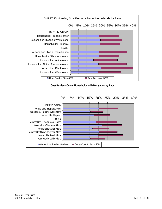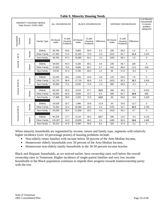|  | <b>Table 9. Minority Housing Needs</b> |  |
|--|----------------------------------------|--|
|  |                                        |  |

|                     | Data Source: CHAS 2000 | <b>MINORITY HOUSING NEEDS</b> | ALL HOUSEHOLDS      |                               | <b>BLACK HOUSEHOLDS</b> |                               |                   |                     | <b>HISPANIC HOUSEHOLDS</b>    |                   |             |
|---------------------|------------------------|-------------------------------|---------------------|-------------------------------|-------------------------|-------------------------------|-------------------|---------------------|-------------------------------|-------------------|-------------|
| Household<br>Income | Tenure                 | Family Type                   | All House-<br>holds | % with<br>Housing<br>Problems | All House-<br>holds     | % with<br>Housing<br>Problems | <b>Difference</b> | All House-<br>holds | % with<br>Housing<br>Problems | <b>Difference</b> |             |
|                     |                        | Elderly                       | 36,765              | 53.6                          | 9,905                   | 59.9                          | 6.3               | 200                 | 55.0                          | 1.4               | $\mathbf 0$ |
|                     | Renter                 | <b>Other Family</b>           | 67,455              | 73.3                          | 31,405                  | 73.0                          | $-0.3$            | 2215                | 84.7                          | 11.4              | 2,215       |
| Income $<$ 30 %     |                        | Non-Family                    | 56,785              | 67.3                          | 15,080                  | 64.1                          | $-3.2$            | 1250                | 69.2                          | 1.9               | $\mathbf 0$ |
|                     |                        |                               |                     |                               |                         |                               |                   |                     |                               |                   |             |
|                     |                        | Elderly                       | 59,530              | 64.3                          | 9,180                   | 69.1                          | 4.8               | 195                 | 66.7                          | 2.4               | $\mathbf 0$ |
|                     | Owner                  | Other Family                  | 37,825              | 75.0                          | 8,685                   | 80.7                          | 5.7               | 410                 | 89.0                          | 14.0              | 410         |
|                     |                        | Non-Family                    | 23730               | 67.3                          | 3,790                   | 68.5                          | 1.2               | 95                  | 57.9                          | $-9.4$            | $\mathbf 0$ |
|                     |                        |                               |                     |                               |                         |                               |                   |                     |                               |                   |             |
|                     |                        | Elderly                       | 23,245              | 48.2                          | 3,345                   | 42.6                          | $-5.6$            | 125                 | 56.0                          | 7.8               | $\mathbf 0$ |
|                     | Renter                 | <b>Other Family</b>           | 52,170              | 66.6                          | 17,710                  | 66.9                          | 0.3               | 2425                | 82.3                          | 15.7              | 2,425       |
| Income 30-50 %      |                        | Non-Family                    | 35,580              | 74.1                          | 8,035                   | 72.8                          | $-1.3$            | 880                 | 69.9                          | $-4.2$            | $\mathbf 0$ |
|                     |                        |                               |                     |                               |                         |                               |                   |                     |                               |                   |             |
|                     |                        | Elderly                       | 68,145              | 32.2                          | 6,515                   | 47.7                          | 15.5              | 280                 | 39.3                          | 7.1               | 6,515       |
|                     | Owner                  | Other Family                  | 49,294              | 65.8                          | 9,940                   | 72.7                          | 6.9               | 695                 | 82.7                          | 16.9              | 695         |
|                     |                        | Non-Family                    | 17,389              | 59.6                          | 2,220                   | 72.5                          | 12.9              | 90                  | 50.0                          | $-9.6$            | 2,220       |
|                     |                        |                               |                     |                               |                         |                               |                   |                     |                               |                   |             |
|                     |                        | Elderly                       | 16,529              | 32.7                          | 1,980                   | 19.9                          | $-12.8$           | 50                  | 20.0                          | $-12.7$           | $\mathbf 0$ |
|                     | Renter                 | <b>Other Family</b>           | 75,260              | 31.4                          | 20,585                  | 35.0                          | 3.6               | 3755                | 53.7                          | 22.3              | 3,755       |
|                     |                        | Non-Family                    | 53,539              | 33.4                          | 11,650                  | 29.2                          | $-4.2$            | 1410                | 40.1                          | 6.7               | 0           |
| Income 50-80 %      |                        |                               |                     |                               |                         |                               |                   |                     |                               |                   |             |
|                     |                        | Elderly                       | 84,229              | 17.7                          | 6,110                   | 30.4                          | 12.7              | 280                 | 12.5                          | $-5.2$            | 6,110       |
|                     | Owner                  | <b>Other Family</b>           | 120,287             | 44.3                          | 19,955                  | 46.3                          | 2.0               | 1485                | 60.9                          | 16.6              | 1,485       |
|                     |                        | Non-Family                    | 35,210              | 47.6                          | 5,390                   | 55.6                          | 8.0               | 200                 | 47.5                          | $-0.1$            | $\mathbf 0$ |

When minority households are segmented by income, tenure and family type, segments with relatively higher incidence (over 10 percentage points) of housing problems include:

- Non-elderly renter families with income below 50 percent of the Area Median Income,
- Homeowner elderly households over 50 percent of the Area Median Income,
- Homeowner non-elderly family households in the 30-50 percent income bracket.

Black and Hispanic households, as we noticed earlier, have ownership rates well below the overall ownership rates in Tennessee. Higher incidence of single-parent families and very low income households in the Black population continues to impede their progress towards homeownership parity with the rest.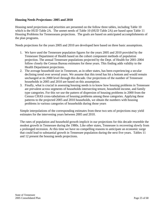#### **Housing Needs Projections: 2005 and 2010**

Housing need projections and priorities are presented on the follow three tables, including Table 10 which is the HUD Table 2A. The unmet needs of Table 10 (HUD Table 2A) are based upon Table 11 Housing Problems for Tennesseans projections. The goals are based on anticipated accomplishments of the plan programs.

Needs projections for the years 2005 and 2010 are developed here based on three basic assumptions.

- 1. We have used the Tennessee population figures for the years 2005 and 2010 provided by the Tennessee Department of Health based on the cohort component methods of population projection. The annual Tennessee populations projected by the Dept. of Health for 2001-2004 follow closely the Census Bureau estimates for these years. This finding adds validity to the Health Department projections.
- 2. The average household size in Tennessee, as in other states, has been experiencing a secular declining trend over several years. We assume that this trend has hit a bottom and would remain unchanged at its 2000 level through this decade. Our projections of the number of Tennessee households in 2005 and 2010 are based on this assumption.
- 3. Finally, what is crucial in assessing housing needs is to know how housing problems in Tennessee are prevalent across segments of households intersecting tenure, household income, and family type categories. For this we use the pattern of dispersion of housing problems in 2000 from the Census CHAS cross-tabulations of housing problems among these categories. Applying these patterns to the projected 2005 and 2010 households, we obtain the numbers with housing problems in various categories of households during those years

Simple interpolations of the corresponding estimates from these two sets of projections may yield estimates for the intervening years between 2005 and 2010.

The rates of population and household growth implicit in our projections for this decade resemble the modest growth in Tennessee during the 1980s. Like other states, Tennessee is recovering slowly from a prolonged recession. At this time we have no compelling reasons to anticipate an economic surge that could lead to substantial growth in Tennessee population during the next five years. Tables 11 and 12 present the housing needs projections.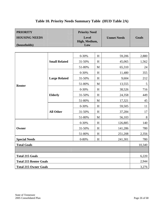| <b>PRIORITY</b>               |                      | <b>Priority Need</b> |                           |                    |              |  |  |  |
|-------------------------------|----------------------|----------------------|---------------------------|--------------------|--------------|--|--|--|
| <b>HOUSING NEEDS</b>          |                      | <b>Level</b>         |                           | <b>Unmet Needs</b> | <b>Goals</b> |  |  |  |
| (households)                  |                      | High, Medium,<br>Low |                           |                    |              |  |  |  |
|                               |                      |                      |                           |                    |              |  |  |  |
|                               |                      | $0 - 30%$            | H                         | 59,206             | 2,880        |  |  |  |
|                               | <b>Small Related</b> | 31-50%               | H                         | 45,065             | 1,562        |  |  |  |
|                               |                      | 51-80%               | $\mathbf M$               | 65,310             | 24           |  |  |  |
|                               |                      | $0 - 30%$            | H                         | 11,480             | 355          |  |  |  |
| <b>Renter</b>                 | <b>Large Related</b> | 31-50%               | $H_{\rm}$                 | 9,604              | 212          |  |  |  |
|                               |                      | 51-80%               | M                         | 13,555             | 5            |  |  |  |
|                               |                      | $0 - 30%$            | H                         | 38,526             | 716          |  |  |  |
|                               | <b>Elderly</b>       | 31-50%               | H                         | 24,358             | 449          |  |  |  |
|                               |                      | 51-80%               | $\mathbf M$               | 17,321             | 45           |  |  |  |
|                               |                      | $0 - 30%$            | H                         | 59,505             | 11           |  |  |  |
|                               | <b>All Other</b>     | 31-50%               | H                         | 37,284             | 17           |  |  |  |
|                               |                      | 51-80%               | $\mathbf M$               | 56,103             | 8            |  |  |  |
|                               |                      | $0 - 30%$            | $H_{\rm}$                 | 126,885            | 140          |  |  |  |
| Owner                         |                      | 31-50%               | $H_{\rm}$                 | 141,286            | 780          |  |  |  |
|                               |                      | 51-80%               | H                         | 251,208            | 2,356        |  |  |  |
| <b>Special Needs</b>          |                      | $0 - 80%$            | $\boldsymbol{\mathrm{H}}$ | 241,301            | 780          |  |  |  |
| <b>Total Goals</b>            |                      |                      |                           |                    | 10,340       |  |  |  |
|                               |                      |                      |                           |                    |              |  |  |  |
| <b>Total 215 Goals</b>        |                      |                      |                           |                    |              |  |  |  |
| <b>Total 215 Renter Goals</b> |                      |                      |                           |                    | 2,944        |  |  |  |
| <b>Total 215 Owner Goals</b>  |                      |                      |                           |                    | 3,276        |  |  |  |

# **Table 10. Priority Needs Summary Table (HUD Table 2A)**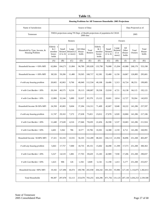| .`able 1 |  |
|----------|--|
|----------|--|

|                                                 |                                               | <b>Housing Problems for All Tennessee Households: 2005 Projections</b> |                                 |                              |                  |                                                                            |                              |                                               |                                 |                       |                             |  |
|-------------------------------------------------|-----------------------------------------------|------------------------------------------------------------------------|---------------------------------|------------------------------|------------------|----------------------------------------------------------------------------|------------------------------|-----------------------------------------------|---------------------------------|-----------------------|-----------------------------|--|
| Name of Jurisdiction:                           |                                               |                                                                        |                                 | Source of Data:              |                  |                                                                            |                              |                                               |                                 | Data Projected as of: |                             |  |
| Tennessee                                       |                                               |                                                                        |                                 | 2000 data                    |                  | THDA projections using TN Dept. of Health projections of population & CHAS |                              |                                               |                                 | 2005                  |                             |  |
|                                                 |                                               |                                                                        | Renters                         |                              |                  |                                                                            |                              |                                               | Owners                          |                       |                             |  |
| Household by Type, Income, &<br>Housing Problem | Elderly 1<br>& 2<br>member<br>house-<br>holds | Small<br>Related<br>$(2 \text{ to } 4)$                                | Large<br>Related (5<br>or more) | All Other<br>House-<br>holds | Total<br>Renters | Elderly 1<br>&2<br>member<br>house-<br>holds                               | Small<br>Related<br>(2 to 4) | Large<br>Related<br>$(5 \text{ or }$<br>more) | All<br>Other<br>House-<br>holds | Total<br>Owners       | Total<br>House-<br>holds    |  |
|                                                 | (A)                                           | (B)                                                                    | (C)                             | (D)                          | (E)              | (F)                                                                        | (G)                          | (H)                                           | (I)                             | (J)                   | (K)                         |  |
| Household Income <= 50% MFI                     | 62,884                                        | 104,271                                                                | 21,084                          | 96,789                       | 285,028          | 133,790                                                                    | 76,088                       | 15,204                                        | 43,088                          | 268,170               | 553,198                     |  |
| Household Income <= 30% MFI                     | 38,526                                        | 59,206                                                                 | 11,480                          | 59,505                       | 168,717          | 62,381                                                                     | 33,480                       | 6,156                                         | 24,867                          | 126,885               | 295,601                     |  |
| # with any housing problem                      | 20,665                                        | 42,063                                                                 | 9,766                           | 40,040                       | 112,534          | 40,108                                                                     | 24,406                       | 5,313                                         | 16,724                          | 86,551                | 199,085                     |  |
| # with Cost Burden > 30%                        | 20,104                                        | 40,575                                                                 | 8,216                           | 39,113                       | 108,007          | 39,338                                                                     | 23,918                       | 4,721                                         | 16,138                          | 84,115                | 192,121                     |  |
| # with Cost Burden > $50\%$                     | 12,800                                        | 32,244                                                                 | 5,889                           | 32,637                       | 83,570           | 23,122                                                                     | 19,601                       | 3,814                                         | 12,727                          | 59,264                | 142,833                     |  |
| Household Income 30-50% MFI                     | 24,358                                        | 45,065                                                                 | 9,604                           | 37,284                       | 116,311          | 71,409                                                                     | 42,607                       | 9,048                                         | 18,222                          | 141,286               | 257,597                     |  |
| # with any housing problem                      | 11,747                                        | 29,163                                                                 | 7,272                           | 27,638                       | 75,821           | 23,012                                                                     | 27,078                       | 6,920                                         | 10,860                          | 141,286               | 217,106                     |  |
| # with Cost Burden > 30%                        | 11,448                                        | 27,628                                                                 | 4,516                           | 27,046                       | 70,639           | 22,456                                                                     | 26,590                       | 5,537                                         | 10,683                          | 141,286               | 211,924                     |  |
| # with Cost Burden > $50\%$                     | 4,401                                         | 5,942                                                                  | 786                             | 8,577                        | 19,706           | 10.301                                                                     | 14,388                       | 2,159                                         | 6,712                           | 141.286               | 160,991                     |  |
| Household Income 50-80% MFI                     | 17,321                                        | 65,310                                                                 | 13,555                          | 56,103                       | 152,289          | 88,263                                                                     | 104,113                      | 21,936                                        | 36,896                          | 251,208               | 403,497                     |  |
| # with any housing problem                      | 5,663                                         | 17,757                                                                 | 7,000                           | 18,735                       | 49,155           | 15,602                                                                     | 44,498                       | 11,399                                        | 17,573                          | 251,208               | 300,363                     |  |
| # with Cost Burden > $30\%$                     | 5,527                                         | 14,519                                                                 | 1,881                           | 17,703                       | 39,629           | 15,183                                                                     | 42,989                       | 7,930                                         | 17,206                          | 251,208               | 290,837                     |  |
| # with Cost Burden > $50\%$                     | 1,623                                         | 906                                                                    | 126                             | 1,194                        | 3,849            | 5,134                                                                      | 11,190                       | 1,413                                         | 5,177                           | 251,208               | 255,057                     |  |
| Household Income >80% MFI                       | 19,182                                        | 127,496                                                                | 18,474                          | 100,786                      | 265,938          | 204,242                                                                    | 691,501                      | 93,986                                        | 127,145                         | 1,116,875             | 1,382,813                   |  |
| <b>Total Households</b>                         | 99,387                                        | 297,078                                                                | 53,113                          | 253,678                      | 703,255          | 426,296                                                                    | 871,702                      | 131,125                                       |                                 |                       | 207,130 1,636,253 2,339,508 |  |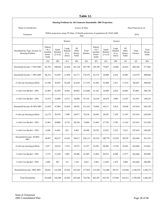## **Table 12.**

| Housing Problems for All Tennessee Households: 2005 Projections |                                               |                                         |                                               |                                 |                  |                                               |                                                                                 |                                               |                                 |                       |                          |
|-----------------------------------------------------------------|-----------------------------------------------|-----------------------------------------|-----------------------------------------------|---------------------------------|------------------|-----------------------------------------------|---------------------------------------------------------------------------------|-----------------------------------------------|---------------------------------|-----------------------|--------------------------|
| Name of Jurisdiction:                                           |                                               |                                         |                                               |                                 | Source of Data:  |                                               |                                                                                 |                                               |                                 | Data Projected as of: |                          |
| Tennessee                                                       |                                               |                                         |                                               |                                 | data             |                                               | THDA projections using TN Dept. of Health projections of population & CHAS 2000 |                                               |                                 | 2010                  |                          |
|                                                                 |                                               |                                         | Renters                                       |                                 |                  |                                               |                                                                                 | Owners                                        |                                 |                       |                          |
| Household by Type, Income, &<br>Housing Problem                 | Elderly<br>1 & 2<br>member<br>house-<br>holds | Small<br>Related<br>$(2 \text{ to } 4)$ | Large<br>Related<br>$(5 \text{ or }$<br>more) | All<br>Other<br>House-<br>holds | Total<br>Renters | Elderly<br>1 & 2<br>member<br>house-<br>holds | Small<br>Related<br>$(2 \text{ to } 4)$                                         | Large<br>Related<br>$(5 \text{ or }$<br>more) | All<br>Other<br>House-<br>holds | Total<br>Owners       | Total<br>House-<br>holds |
|                                                                 | (A)                                           | (B)                                     | (C)                                           | (D)                             | (E)              | (F)                                           | (G)                                                                             | (H)                                           | (I)                             | (J)                   | (K)                      |
| Household Income <= 50% MFI                                     | 65,702                                        | 108,943                                 | 22,028                                        | 101,126                         | 297,799          | 139,785                                       | 79,497                                                                          | 15,885                                        | 45,019                          | 280,186               | 577,985                  |
| Household Income <= 30% MFI                                     | 40,252                                        | 61,859                                  | 11,994                                        | 62,171                          | 176,276          | 65,176                                        | 34,980                                                                          | 6,432                                         | 25,981                          | 132,570               | 308,846                  |
| # with any housing problem                                      | 21,590                                        | 43,947                                  | 10,204                                        | 41,834                          | 117,576          | 41,905                                        | 25,499                                                                          | 5,551                                         | 17,474                          | 90,429                | 208,005                  |
| # with Cost Burden > 30%                                        | 21,005                                        | 42,393                                  | 8,584                                         | 40,865                          | 112,846          | 41,101                                        | 24,990                                                                          | 4,932                                         | 16,861                          | 87,884                | 200,730                  |
| # with Cost Burden > $50\%$                                     | 13,374                                        | 33,689                                  | 6,153                                         | 34,099                          | 87,314           | 24,158                                        | 20,479                                                                          | 3,985                                         | 13,297                          | 61,919                | 149,233                  |
| Household Income 30-50% MFI                                     | 25,450                                        | 47,084                                  | 10,034                                        | 38,955                          | 121,523          | 74,609                                        | 44,517                                                                          | 9,453                                         | 19,038                          | 147,616               | 269,139                  |
| # with any housing problem                                      | 12,273                                        | 30,470                                  | 7,598                                         | 28,877                          | 79,218           | 24,043                                        | 28,291                                                                          | 7,230                                         | 11,347                          | 147,616               | 226,834                  |
| # with Cost Burden > $30\%$                                     | 11,961                                        | 28,866                                  | 4,719                                         | 28,258                          | 73,804           | 23,463                                        | 27,782                                                                          | 5,785                                         | 11,162                          | 147,616               | 221,420                  |
| # with Cost Burden > $50\%$                                     | 4,598                                         | 6,208                                   | 821                                           | 8,961                           | 20,589           | 10,762                                        | 15,032                                                                          | 2,255                                         | 7,013                           | 147,616               | 168,205                  |
| Household Income 50-80%<br>MFI                                  | 18,097                                        | 68,237                                  | 14,162                                        | 58,617                          | 159,112          | 92,218                                        | 108,778                                                                         | 22,918                                        | 38,550                          | 262,464               | 421,576                  |
| # with any housing problem                                      | 5,917                                         | 18,552                                  | 7,314                                         | 19,575                          | 51,357           | 16,301                                        | 46,492                                                                          | 11,910                                        | 18,361                          | 262,464               | 313,821                  |
| # with Cost Burden > 30%                                        | 5,774                                         | 15,169                                  | 1,965                                         | 18,496                          | 41,405           | 15,863                                        | 44,915                                                                          | 8,286                                         | 17,977                          | 262,464               | 303,869                  |
| # with Cost Burden > $50\%$                                     | 1,696                                         | 947                                     | 131                                           | 1,247                           | 4,021            | 5,364                                         | 11,692                                                                          | 1,476                                         | 5,409                           | 262,464               | 266,485                  |
| Household Income >80% MFI                                       | 20,041                                        | 133,209                                 | 19,302                                        | 105,302                         | 277,854          | 213,394                                       | 722,486                                                                         | 98,197                                        | 132,842                         | 1,166,919             | 1,444,773                |
| <b>Total Households</b>                                         | 103,840                                       | 310,389                                 | 55,492                                        | 265,044                         | 734,766          | 445,397                                       | 910,761                                                                         | 137,001                                       | 216,411                         | 1,709,569             | 2,444,335                |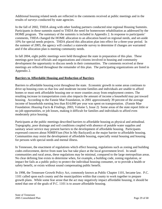Additional housing related needs are reflected in the comments received at public meetings and in the results of surveys conducted by state agencies.

In the fall of 2002, THDA along with other funding partners conducted nine regional Housing Summits. Participants in these summits stated to THDA the need for homeowner rehabilitation as addressed by the HOME program. The summary of the summits is included in Appendix 2. In response to participants' comments, THDA changed the HOME allocation to an allocation based on regional needs, and set-aside 10% for special needs projects. THDA placed this allocation plan into effect for a three-year period. In the summer of 2005, the agency will conduct a statewide survey to determine if changes are warranted and if the allocation plan is meeting community needs.

In fall 2004, eight public meetings were held throughout the state in preparation of this plan. These meetings gave local officials and organizations and citizens involved in housing and community development the opportunity to discuss needs in their communities. The comments received at these meetings are reflected throughout the remainder of this plan. The participating organizations are listed in Appendix 2.

### **Barriers to Affordable Housing and Reduction of Barriers**

Barriers to affordable housing exist throughout the state. Economic growth in some areas continues to drive up housing costs so that low and moderate income families and individuals are unable to afford homes or must seek affordable housing one or more counties away from employment centers. The resulting increase in transportation costs also impacts the amount of income a household may put toward housing. According to the Fannie Mae Foundation, in 2001 approximately 39 percent of the average income of households earning less than \$14,000 per year was spent on transportation. (Fannie Mae Foundation: *Housing Facts & Findings*, 2003, Volume 5, Issue 2) Some areas of the state report little or no job opportunities, or job losses, making it difficult for families and individuals to afford even moderately price housing.

Participants at the public meetings described barriers to affordable housing as physical and attitudinal. Topography, poor drainage and soil conditions coupled with absence of potable water supplies and sanitary sewer service may present barriers to the development of affordable housing. Participants expressed concern about NIMBYism (Not In My Backyard) as the major barrier to affordable housing. Communities may resist the development of affordable housing, especially rental housing and housing for persons with special needs and mental illness.

In Tennessee, the enactment of regulations which effect housing, regulations such as zoning and building codes enforcement, derive from state law but take place at the local government level. In small communities and rural areas, these regulations may be minimal, compared to the large metropolitan areas. No clear defining line exists to determine when, for example, a building code, zoning regulation, or impact fee fails as a public policy to protect the individual housing consumer, or to provide a health or safety benefit, or exists without sound compensating public benefit.

In 1998, the Tennessee Growth Policy Act, commonly known as Public Chapter 1101, became law. P.C. 1101 called upon each county and the municipalities within that county to work together to prepare growth plans. While some fear arose that the act may negatively impact affordable housing, it should be noted that one of the goals of P.C. 1101 is to assure affordable housing.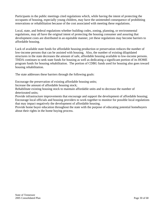Participants in the public meetings cited regulations which, while having the intent of protecting the occupants of housing, especially young children, may have the unintended consequence of prohibiting renovations or rehabilitation because of the cost associated with meeting these regulations.

Local, state, and federal regulations whether building codes, zoning, planning, or environmental regulations, may all have the original intent of protecting the housing consumer and assuring that development costs are distributed in an equitable manner, yet these regulations may become barriers to affordable housing.

Lack of available state funds for affordable housing production or preservation reduces the number of low-income persons that can be assisted with housing. Also, the number of existing dilapidated structures in the state decreases the amount of safe, affordable housing available to low-income persons. THDA continues to seek state funds for housing as well as dedicating a significant portion of its HOME program funds for housing rehabilitation. The portion of CDBG funds used for housing also goes toward housing rehabilitation.

The state addresses these barriers through the following goals:

Encourage the preservation of existing affordable housing units;

Increase the amount of affordable housing stock;

Rehabilitate existing housing stock to maintain affordable units and to decrease the number of deteriorated units;

Provide infrastructure improvements that encourage and support the development of affordable housing; Encourage local officials and housing providers to work together to monitor for possible local regulations that may impact negatively the development of affordable housing.

Provide home buyer education throughout the state with the purpose of educating potential homebuyers about their rights in the home buying process.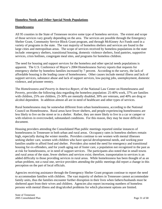### **Homeless Needs and Other Special Needs Populations**

#### **Homelessness**

All 95 counties in the State of Tennessee receive some type of homeless services. The extent and scope of those services vary greatly depending on the area. The services are possible through the Emergency Shelter Grant, Community Service Block Grant program, and through McKinney Act Funds used in a variety of programs in the state. The vast majority of homeless shelters and services are found in the large cities and metropolitan areas. The scope of services received by homeless populations in the state include: emergency shelters, transitional housing, domestic violence shelters, food pantries, supportive services, crisis hotlines, congregate meal sites, and programs for homeless children.

The need for housing and support services for the homeless and other special needs populations is apparent. The U.S. Conference of Mayor's 2004 Homelessness Survey reports that requests for emergency shelter by homeless families increased by 7 percent. According to the survey, the lack of affordable housing is the leading cause of homelessness. Other causes include mental illness and lack of support services, substance abuse and lack of support services, low-paying jobs, unemployment, domestic violence, and prisoner reentry.

The *Homelessness and Poverty in America Report,* of the National Law Center on Homelessness and Poverty, provides the following data regarding the homeless population: 25-40% work, 37% are families with children, 25% are children, 25-30% are mentally disabled, 30% are veterans, and 40% are drug or alcohol dependent. In addition almost all are in need of healthcare and other types of services.

Rural homelessness may be somewhat different from urban homelessness, according to the National Council on Homelessness. Rural areas have fewer shelters, and people experiencing homelessness are less likely to live on the street or in a shelter. Rather, they are more likely to live in a car or camper or with relatives in overcrowded, substandard conditions. For this reason, they may be more difficult to document.

Housing providers attending the Consolidated Plan public meetings reported similar instances of homelessness in Tennessee in both urban and rural areas. Occupancy rates in homeless shelters remain high, especially during the winter months. Providers continue to see women with mental illnesses seeking shelter care, women with children who have special developmental needs, and working poor families unable to afford food and shelter. Providers also noted the need for emergency and transitional housing for ex-offenders, and for youth aging out of foster care, a population not recognized in the past as at risk for homelessness, or in need of support services. The participants also noted that in small towns and rural areas of the state, fewer shelters and services exist; therefore, transportation to services is an added difficulty to those providing services in rural areas. While homelessness has been thought of as an urban problem, not a rural one, service providers attending the public meetings did report a change in this perception on the part of local officials.

Agencies receiving assistance through the Emergency Shelter Grant program continue to report the need to accommodate families with children. The vast majority of shelters in Tennessee cannot accommodate family units, thus the families encounter further disruption in their lives when fathers/husbands must be sheltered apart from their wives and children. Agencies also report increasing numbers of homeless persons with mental illness and drug/alcohol problems for which placement options are limited.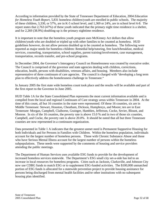According to information provided by the State of Tennessee Department of Education, 2004 *Education for Homeless Youth Report*, 5,831 homeless children/youth are enrolled in public schools. The majority of these children, 3,330, or 57%, are in K-5 school level, and 1,369 or 24%, are in school level 6-8. The report states that 2,763 (47%) of these youth indicated that the primary night time residence is a shelter, and for 2,269 (38.9%) doubling-up is the primary nighttime residence.

It is important to note that the homeless youth program uses McKinney Act dollars that allow children/youth who are doubled or tripled up with other families to be counted as homeless. HUD guidelines however, do not allow persons doubled up to be counted as homeless. The following were reported as major needs for homeless children: Remedial help/tutoring, free lunch/breakfast, medical services, counseling, transportation, school supplies, parent training/involvement, case management, transportation, records transfer, and pre-school programs.

In December 2004, the Governor's Interagency Council on Homelessness was created by executive order. The Council is comprised of the governor and state agencies dealing with children, corrections, education, health, persons with disabilities, veterans affairs, and housing. Members also include representative of three continuum of care agencies. The council is charged with "developing a long term plan to effectively address the homelessness challenge in Tennessee."

In January 2005 the first state wide homeless count took place and the results will be available and part of the first report to the Governor in June 2005.

HUD Table 1A for the State Consolidated Plan represents the most current information available and is compiled from the local and regional Continuum of Care strategy areas within Tennessee in 2004. At the time of this count, all but 16 counties in the state were represented. Of these 16 counties, six are in Middle Tennessee: Stewart, Houston, Cheatham, Dickson, Humphreys, and Moore; ten are in East Tennessee: Morgan, Campbell, Claiborne, Grainger, Hamblen, Jefferson, Cocke, Sevier, Blount, and Monroe. In six of the 16 counties, the poverty rate is above 15.0 % and in two of those six counties, Campbell, and Cocke, the poverty rate is above 20.0%. It should be noted that all but three Tennessee counties are now represented in a continuum organization.

Data presented in Table 1 A indicates that the greatest unmet need is Permanent Supportive Housing for both Individuals and for Persons in Families with Children. Within the homeless population, individuals account for the largest number of homeless persons. Those with Chronic Substance Abuse and those who have Serious Mental Illness account for the largest number of persons within the homeless subpopulations. These needs were supported by the comments of housing and service providers attending the public meetings.

The Department of Human Services uses available ESG funds to provide for the development of increased homeless services statewide. The Department's ESG small city set-a-side has led to an increase in local resources for homeless programs. Cities such as Jackson, Clarksville, and Johnson City now use CDBG funds to match ESG or to supplement ESG-funded activities. The \$100,000 unmatched portion of ESG funds is allocated for a statewide prevention project to provide housing assistance for persons being discharged from mental health facilities and/or other institutions with no subsequent housing plan identified.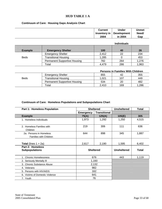### **HUD TABLE 1 A**

#### **Continuum of Care: Housing Gaps Analysis Chart**

| <b>Current</b> | <b>Under</b>               | Unmet |
|----------------|----------------------------|-------|
|                | Inventory in   Development | Need/ |
| 2004           | in 2004                    | Gap   |

|                |                                     |       | <b>Individuals</b> |       |
|----------------|-------------------------------------|-------|--------------------|-------|
| <b>Example</b> | <b>Emergency Shelter</b>            | 100   | 40                 | 26    |
|                | <b>Emergency Shelter</b>            | 2,412 | 22                 | 234   |
| <b>Beds</b>    | <b>Transitional Housing</b>         | 1,285 |                    | 453   |
|                | <b>Permanent Supportive Housing</b> | 782   | 264                | 1,276 |
|                | Total                               | 4,479 | 286                | 1,963 |

|             |                                     |       | <b>Persons in Families With Children</b> |       |
|-------------|-------------------------------------|-------|------------------------------------------|-------|
|             | <b>Emergency Shelter</b>            | 855   | 42                                       | 355   |
| <b>Beds</b> | Transitional Housing                | 1.021 | 107                                      | 449   |
|             | <b>Permanent Supportive Housing</b> | 534   | 20                                       | 482   |
|             | ™otal                               | 2.410 | 169                                      | 1.286 |

#### **Continuum of Care: Homeless Populations and Subpopulations Chart**

| <b>Part 1: Homeless Population</b>                       |                  | <b>Sheltered</b>    |                    | <b>Total</b> |
|----------------------------------------------------------|------------------|---------------------|--------------------|--------------|
|                                                          | <b>Emergency</b> | <b>Transitional</b> |                    |              |
| <b>Example</b>                                           | 75(A)            | 125(A)              | 105(E)             | 305          |
| 1. Homeless Individuals                                  | 1,973            | 1,292               | 1,250              | 4,515        |
| 2. Homeless Families with<br>Children                    | 219              | 306                 | 111                | 636          |
| 2a. Persons in Homeless<br><b>Families with Children</b> | 644              | 898                 | 345                | 1,887        |
| <b>Total</b> (lines $1 + 2a$ )                           | 2,617            | 2,190               | 1,595              | 6,402        |
| Part 2: Homeless<br><b>Subpopulations</b>                |                  | <b>Sheltered</b>    | <b>Unsheltered</b> | <b>Total</b> |
| 1. Chronic Homelessness                                  |                  | 676                 | 443                | 1,119        |
| 2. Seriously Mentally III                                |                  | 1,160               |                    |              |
| 3. Chronic Substance Abuse                               |                  | 2,132               |                    |              |
| 4. Veterans                                              |                  | 982                 |                    |              |
| 5. Persons with HIV/AIDS                                 |                  | 162                 |                    |              |
| 6. Victims of Domestic Violence                          |                  | 641                 |                    |              |
| 7. Youth                                                 |                  | 76                  |                    |              |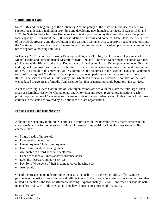### **Continuum of Care**

Since 1987 and the beginning of the McKinney Act, the policy of the State of Tennessee has been to support local decision-making in providing and developing new homeless services. Between 1987 and 1991 the State funded a full-time Homeless Coordinator position to lay this groundwork and help build local capacity. Throughout the HUD consolidation of housing and homeless State Plans, the emergence of the HOME program, and the evolution of the various McKinney Act supportive housing programs into the Continuum of Care, the State of Tennessee position has remained one of support of local, communitybased supportive housing solutions.

In January 2002, Tennessee Housing Development Agency (THDA), the Tennessee Department of Mental Health and Developmental Disabilities (MHDD), and Tennessee Department of Human Services (DHS) met with officials of the U. S. Department of Housing and Urban Development and over 50 local and regional organizations from across the state to begin a conversation regarding a statewide continuum of care. As a result of this meeting, MHDD committed the resources of the Regional Housing Facilitators to coordinate regional Continuum of Care plans to be developed state-wide for persons with mental illness. The service area of Buffalo Valley, Inc. which had previously covered 80 counties of the state, was reduced to two areas of middle Tennessee so that that organization could better provide services.

As of this writing, eleven Continuum of Care organizations are active in the state: the four large urban areas of Memphis, Nashville, Chattanooga, and Knoxville; and seven regional organizations, each providing Continuum of Care services in areas outside of the four urban areas. At this time, all but three counties in the state are covered by a Continuum of Care organization.

#### **Persons at Risk for Homelessness**

Although the economy in the state continues to improve with low unemployment, many persons in the state remain at risk for homelessness. Many of those persons at risk for homelessness share similar characteristics:

- Single heads of household
- Low levels of education
- Unemployment/Under Employment
- Live in substandard housing units
- Are unable to afford adequate healthcare
- Experience mental illness and/or substance abuse
- Lack the necessary support services
- Pay 30 to 70 percent of their income to cover housing cost
- Are female

One of the greatest potentials for homelessness is the inability to pay rent or utility bills. Required payments of deposits for rental units and utilities intensify if a low-income family tries to move. Another related risk factor is the lack of affordable housing. Approximately 212,548 Tennessee households with income less than 30% of the median income have housing cost burden of over 50%.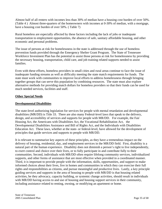Almost half of all renters with incomes less than 30% of median have a housing cost burden of over 50%. (Table 4 ) Almost three-quarters of the homeowners with incomes at 0-30% of median, with a mortgage, have a housing cost burden of over 50%. ( Table 7)

Rural homeless are especially affected by these factors including the lack of jobs or inadequate transportation to employment opportunities, the absence of safe, sanitary affordable housing, and other economic and personal problems.

The issue of persons at risk for homelessness in the state is addressed through the use of homeless prevention funds provided through the Emergency Shelter Grant Program. The State of Tennessee Workforce Investment Plan has the potential to assist those persons at risk for homelessness by providing the necessary housing, transportation, child care, and job training related supports needed to assist families.

Even with these efforts, homeless providers in small cities and rural areas continue to face the issue of inadequate funding streams as well as difficulty meeting the state match requirements for funds. The state must work with communities to improve local efforts to address homelessness through bringing together groups that can serve this population by combining resources. The state must also explore alternative methods for providing match dollars for homeless providers so that their funds can be used for much needed services, facilities and staff.

#### **Other Special Needs**

### **Developmental Disabilities**

The state-level authorizing legislation for services for people with mental retardation and developmental disabilities (MR/DD) is Title 33. There are also many Federal-level laws that speak to the delivery, design, and accessibility of services and supports for people with MR/DD. For example, the Fair Housing Act, the Americans with Disabilities Act, the Vocational Rehabilitation Act, the Developmental Disabilities Assistance and Bill of Rights Act, and the Individuals with Disabilities Education Act. These laws, whether at the state- or federal-level, have allowed for the development of principles that guide services and supports to people with MR/DD.

It is relevant to summarize key aspects of these principles, as they have a tremendous impact on the delivery of housing, residential, day, and employment services in the MR/DD field. First, disability is a natural part of the human experience. Disability does not diminish a person's right to live independently, to exert control and choice over their lives, or to fully participate in and contribute fully to their communities. Second, individuals with MR/DD often require lifelong community services, individualized supports, and other forms of assistance that are most effective when provided in a coordinated manner. Third, it is important to provide people with the information, skills, opportunities, and support to make informed choices about their lives, live in homes and communities in which they can exercise their full rights and responsibilities as citizens, and pursue meaningful and productive lives. Lastly, a key principle guiding services and supports in the area of housing to people with MR/DD is that housing related activities, be they advocacy, capacity building, or systemic change activities, should result in individuals with MR/DD having access to and use of housing and housing support services in their community, including assistance related to renting, owning, or modifying an apartment or home.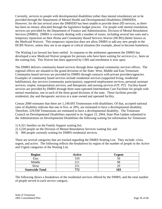Currently, services to people with developmental disabilities (other than mental retardation) are to be provided through the Department of Mental Health and Developmental Disabilities (DMHDD). However, for the last several years the DMHDD has been unable to provide these DD services, as there has been no money allocated through the legislative budget process. For people with mental retardation, services are provided by the Department of Finance and Administration, Division of Mental Retardation Services (DMRS). DMRS is currently dealing with a number of issues, including several law suits and a temporary injunction on their Home and Community Based Services Waiver (HCBS) (better known as the Medicaid Waiver). This temporary injunction does not allow DMRS to add any new people to the HCBS Waiver, unless they are in an urgent or critical situation (for example, about to become homeless).

The Waiting List lawsuit has been settled. In response to the settlement agreement the DMRS has developed a new Medicaid Waiver program for persons who have been waiting for services (i.e., been on the waiting list). This Waiver has been approved by CMS and enrollment is now open.

The DMRS delivers community-based services through three regional community services offices. The regional offices are situated in the grand divisions of the State: West, Middle and East Tennessee. Community-based services are provided by DMRS through contracts with private providers/agencies. Examples of community based services include residential services (supported living, residential habilitation), day services (community participation), supported employment services, personal assistant services, respite, transportation services, and therapeutic and nursing services (OT, PT). Facility-based services are provided by DMRS through three state-operated Intermediate Care Facilities for people with mental retardation, one in each of the three grand divisions of the state. These facilities provide residential, day and therapeutic services at a state owned and operated facility.

Census 2000 estimates that there are 1,149,693 Tennesseans with disabilities. Of that, accepted national rates of disability indicate that one in five, or 20%, are estimated to have a developmental disability. Therefore, 229,938 Tennesseans are estimated to have a developmental disability. The Tennessee Council on Developmental Disabilities reported in its August 15, 2004, State Plan Update submitted to the Administration on Developmental Disabilities the following waiting list information for Tennessee:

- 1) 4,321 families on the Family Support waiting list;
- 2) 3,220 people on the Division of Mental Retardation Services waiting list; and
- 3) 900 people currently waiting for DMRS residential services.

There are several categories that are tracked regarding the DMRS Waiting List. They include: crisis, urgent, and active. The following reflects the breakdown by region of the number of people in the Active and Urgent categories of the Waiting List.

| <b>Region</b>          | <b>Active</b> | <b>Urgent</b> |
|------------------------|---------------|---------------|
| East                   | 310           |               |
| Middle                 |               |               |
| West                   |               |               |
| <b>Statewide Total</b> | 770           | 183           |

The following shows a breakdown of the residential services offered by the DMRS, and the total number of people served in each service category.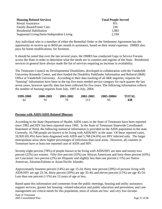| <b>Housing Related Services</b>          | <b>Total People Served</b> |
|------------------------------------------|----------------------------|
| <b>Rental Assistance</b>                 | 951                        |
| <b>Family Based/Foster Care</b>          | 230                        |
| <b>Residential Habilitation</b>          | 1,083                      |
| Supported Living/Semi-Independent Living | 2.194                      |

Any individual who is a member of either the Remedial Order or the Settlement Agreement has the opportunity to receive up to \$450 per month in assistance, based on their rental expenses. DMRS also pays for home modifications, for furniture.

It should be noted that over the last several years, the DMRS has conducted Gaps in Service Forums across the State in order to determine what the needs are in counties and regions of the State. Residential services in general have always made the list of services requiring an increase in availability.

The Tennessee Council on Developmental Disabilities, developed in collaboration with the Vanderbilt University Kennedy Center, and then funded the Disability Pathfinder Information and Referral (I&R) Office at Vanderbilt University. According to their data tracking of all I&R inquiries, requests for "housing" information have been in the top five most needed service category for each quarter the last seven years, however specific data has been collected for five years. The following information reflects the number of housing requests from July, 1997 to July, 2004.

| 1999-2000 | 2000-2001 | 2001-2002 | 2002-2003 | 2003-20004 | TOTAL |
|-----------|-----------|-----------|-----------|------------|-------|
|           |           |           | 113       | 93         | 438   |

# **Persons with AIDS/AIDS Related Illnesses**

According to the State Department of Health, AIDS cases in the State of Tennessee have been reported since 1982 and HIV has been reported since 1992. In the State of Tennessee Statewide Coordinated Statement of Need, the following statistical information is provided on the AIDS population in the state. Currently, 16,708 people are known to be living with AIDS/HIV in the state. Of these reported cases, 10,920 (65.4%) have been diagnosed with AIDS and 5,768 (34.6%) are HIV infected only. The larger metropolitan areas show higher percentages of infections than rural areas. However, all counties in Tennessee have at least one reported case of AIDS and HIV.

Seventy-eight percent (78%) of people known to be living with AIDS/HIV are men and twenty-two percent (22%) are women. Fifty-five percent (55%) are African Americans and forty-three percent (43%) are Caucasian: two percent (2%) are Hispanic and slightly less than one percent (<1%) are Native American, Aleutian/Eskimo or Asian Pacific Islander.

Approximately fourteen percent (14%) are age 15-24, thirty nine percent (39%) of persons living with AIDS/HIV are age 25-34, thirty percent (30%) are age 35-44, and eleven percent (11%) are age 45-54. Less than one percent  $\left(\langle 1\% \right)$  are 13 years of age or less.

Based upon this information and comments from the public meetings, housing and utility assistance; support services, greater fair housing –related education and public education and prevention, and case management are critical needs for this population, most of whom are low- and very low-income.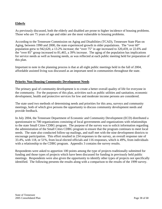# **Elderly**

As previously discussed, both the elderly and disabled are prone to higher incidence of housing problems. Those who are 75 years of age and older are the most vulnerable to housing problems.

According to the Tennessee Commission on Aging and Disabilities (TCAD), Tennessee State Plan on Aging, between 1990 and 2000, the state experienced growth in older populations. The "over 60" population grew to 942,620, a 13.2% increase; the "over 75" in age increased to 320,459, or 22.6% and the "over 85" group increased to 81,465, a 39% increase. The aging of the population has implications for service needs as well as housing needs, as was reflected at each public meeting held for preparation of this plan.

Important to note in the planning process is that at all eight public meetings held in the fall of 2004, affordable assisted living was discussed as an important need in communities throughout the state.

#### **Priority Non-Housing Community Development Needs**

The primary goal of community development is to create a better overall quality of life for everyone in the community. For the purposes of this plan, activities such as public utilities and sanitation, economic development, health and protective services for low and moderate income persons are considered.

The state used two methods of determining needs and priorities for this area, surveys and community meetings, both of which give persons the opportunity to discuss community development needs and provide feedback.

In July 2004, the Tennessee Department of Economic and Community Development (ECD) distributed a questionnaire to 700 organizations consisting of local governments and organizations with relationships to the state Small Cities CDBG program. The purpose of the survey was to solicit information regarding the administration of the Small Cities CDBG program to ensure that the program continues to meet local needs. The state also conducted follow-up mailings, and staff met with the nine development districts to encourage participation. This effort resulted in 234 responses to the survey, an overall response rate of 33.4%, with 118, or 51%, from local elected officials and 116 responses, which is 49%, from individuals with a relationship to the CDBG program. Appendix 3 contains the survey results.

Respondents were asked to apportion 100 points among the type of projects traditionally submitted for funding and those types of projects which have been discussed for funding in previously held public meetings. Respondents were also given the opportunity to identify other types of projects not specifically identified. The following presents the results along with a comparison to the results of the 1999 survey.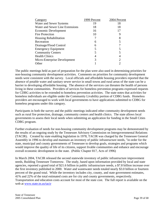| Category                        | 1999 Percent | 2004 Percent |
|---------------------------------|--------------|--------------|
| Water and Sewer Systems         | 19           | 18           |
| Water and Sewer Line Extensions | 18           | 18           |
| Economic Development            | 16           | 17           |
| <b>Fire Protection</b>          | 10           |              |
| Housing Rehabilitation          |              | 8            |
| Recreation                      | 6            |              |
| Drainage/Flood Control          | 6            |              |
| <b>Emergency Equipment</b>      |              |              |
| <b>Community Centers</b>        |              |              |
| <b>Health Clinics</b>           |              |              |
| Micro-Enterprise Development    |              |              |
| Other                           |              |              |

The public meetings held as part of preparation for the plan were also used in determining priorities for non-housing community development activities. Comments on priorities for community development needs were consistent with the survey. Local officials and affordable housing providers reported that the absence of potable water and sanitary sewer service in small towns and rural areas of the state can be a barrier to developing affordable housing. The absence of the services can threaten the health of persons living in these communities. Providers of services for homeless prevention programs expressed requests for CDBG activities to be extended to homeless prevention activities. The state notes that activities for homeless individuals are eligible under the Community Livability portion of CDBG funds. Homeless providers are encouraged to work with local governments to have applications submitted to CDBG for homeless programs under this category.

Participants in both the survey and the public meetings indicated other community development needs such as rural fire protection, drainage, community centers and health clinics. The state allows local governments to assess their local needs when submitting an application for funding in the Small Cities CDBG program.

Further evaluation of needs for non-housing community development programs may be demonstrated by the results of an ongoing study by the Tennessee Advisory Commission on Intergovernmental Relations (TACIR). Created by state enabling legislation in 1978, TACIR was charged by the Tennessee General Assembly in 1996 to develop and maintain an inventory of public infrastructure needs, "in order for the state, municipal and county governments of Tennessee to develop goals, strategies and programs which would improve the quality of life of its citizens, support livable communities and enhance and encourage overall economic development in the state. (Public Chapter 817, Acts of 1996)

In March 2004, TACIR released the second statewide inventory of public infrastructure improvement needs, Building Tennessee Tomorrow. The study, based upon information provided by local and state agencies, reported a grand total of \$21.6 billion in public infrastructure needs, a \$7.8 billion increase over the first inventory published in 2000. Water and wastewater needs totaled nearly \$3.0 billion or fourteen percent of the grand total. While the inventory includes city, county, and state government estimates, 41% and 22% of the total estimated costs are for city and county governments, respectively. Transportation and education costs account for most of the state cost. The full report is available on the web at www.state.tn.us/tacir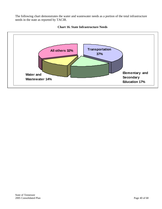The following chart demonstrates the water and wastewater needs as a portion of the total infrastructure needs in the state as reported by TACIR.



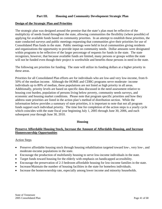# **Part III. Housing and Community Development Strategic Plan**

#### **Design of the Strategic Plan and Priorities**

The strategic plan was designed around the premise that the state's plan must be reflective of the multiplicity of needs found throughout the state, allowing communities the flexibility (where possible) of applying for available funds based on community priorities. In an attempt to establish these priorities, the state conducted surveys and public meetings requesting that communities give their priorities for use of Consolidated Plan funds in the state. Public meetings were held in local communities giving residents and organizations the opportunity to provide input on community needs. Dollar amounts were designated within programs to be reflective of the larger percentage of requests for funds in the state. The state recognizes, however, that because available funds are limited, many persons or groups within the state will not be funded even though their project is worthwhile and benefits those persons in need in the state.

The following are priorities for funding. The state will utilize its funding dollars at a higher priority in these areas.

Priorities for all Consolidated Plan efforts are for individuals who are low-and very low-income, from 0- 50% of the median income. Although the HOME and CDBG programs serve moderate- income individuals up to 80% of median, these populations are not listed as high priority in all areas. Additionally, priority levels are based on specific data discussed in the need assessment relative to housing cost burden, population of persons living below poverty, community needs surveys, and economic and housing market conditions. Please note that program specific priorities and how they address state priorities are listed in the action plan's method of distribution section. While the information below provides a summary of state priorities, it is important to note that not all program funds support each individual priority. The time line for completion of the action steps is a yearly cycle which coincides with the state fiscal year beginning July 1, 2005 through June 30, 2006, and each subsequent year through June 30, 2010.

#### **Housing**

#### **Preserve Affordable Housing Stock, Increase the Amount of Affordable Housing, and Increase Homeownership Opportunities**

#### Action Steps

- Preserve affordable housing stock through housing rehabilitation targeted toward low-, very low-, and moderate-income populations in the state.
- Encourage the production of multifamily housing to serve low-income individuals in the state.
- Target funds toward housing for the elderly with emphasis on handicapped accessibility.
- Encourage the preservation of 2-3 bedroom affordable housing for low-income families in the state.
- Increase/Maintain the number of housing facilities in the state for homeless individuals.
- Increase the homeownership rate, especially among lower income and minority households.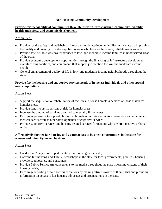### **Non-Housing Community Development**

#### **Provide for the viability of communities through insuring infrastructure, community livability, health and safety, and economic development.**

#### Action Steps

- Provide for the safety and well-being of low- and moderate-income families in the state by improving the quality and quantity of water supplies in areas which do not have safe, reliable water sources.
- Provide safe, reliable wastewater services to low- and moderate-income families in underserved areas of the state.
- Provide economic development opportunities through the financing of infrastructure development, manufacturing facilities, and equipment, that support job creation for low and moderate income people.
- General enhancement of quality of life in low- and moderate-income neighborhoods throughout the state.

#### **Provide for the housing and supportive services needs of homeless individuals and other special needs populations.**

#### Action Steps

- Support the acquisition or rehabilitation of facilities to house homeless persons or those at risk for homelessness.
- Provide funds to assist persons at risk for homelessness
- Increase the amount of services provided to mentally ill homeless
- Encourage programs to support children in homeless facilities to receive preventive and emergency medical care as well as other developmental or cognitive services
- Provide supportive services and housing-related services for persons who are HIV positive or have AIDS.

#### **Affirmatively further fair housing and assure access to business opportunities in the state for women and minority-owned business.**

#### Action Steps

- Conduct an Analysis of Impediments of fair housing in the state;
- Convene fair housing and Title VI workshops in the state for local governments, grantees, housing providers, advocates, and consumers;
- Provide Public Service Announcements to the media throughout the state informing citizens of their housing rights;
- Encourage reporting of fair housing violations by making citizens aware of their rights and providing information on access to fair housing advocates and organizations in the state.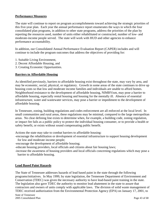### **Performance Measures**

The state will continue to report on program accomplishments toward achieving the strategic priorities of this five-year plan. Each year the annual performance report enumerates the ways in which the four consolidated plan programs, in addition to other state programs, address the priorities of the plan by reporting the resources used, number of units either rehabilitated or constructed, number of low- and moderate-income people served. The state will work with HUD and other agencies to enhance performance accountability.

In addition, our Consolidated Annual Performance Evaluation Report (CAPER) includes and will continue to include the program outcomes that address the objectives of providing for:

- 1. Suitable Living Environment,
- 2. Decent Affordable Housing, and
- 3. Creating Economic Opportunities.

#### **Barriers to Affordable Housing**

As identified previously, barriers to affordable housing exist throughout the state, may vary by area, and may be economic, social, physical, or regulatory. Growth in some areas of the state continues to drive up housing costs so that low and moderate income families and individuals are unable to afford homes. Neighborhood resistance to the development of affordable housing, NIMBYism, may pose a barrier to affordable housing, especially rental housing and housing for the mentally ill. Absence of essential infrastructure, water and wastewater services, may pose a barrier or impediment to the development of affordable housing.

In Tennessee, zoning, building regulations and codes enforcement are all enforced at the local level. In small communities and rural areas, these regulations may be minimal, compared to the large metropolitan areas. No clear defining line exists to determine when, for example, a building code, zoning regulation, or impact fee fails as a public policy to protect the individual housing consumer, or to provide a health or safety benefit, or exists without sound compensating public benefit.

Actions the state may take to combat barriers to affordable housing:

-encourage the rehabilitation or development of essential infrastructure to support housing development for low and moderate income people;

-encourage the development of affordable housing;

-educate housing providers, local officials and citizens about fair housing laws;

-increase the awareness of housing providers and local officials concerning regulations which may pose a barrier to affordable housing.

#### **Lead Based Paint Hazards**

The State of Tennessee addresses hazards of lead based paint in the state through the following programs/initiatives. In May 1999, by state legislation, the Tennessee Department of Environment and Conservation (TDEC) was given the necessary authority to have lead-based paint training in the state. The legislation also gave TDEC the authority to monitor lead abatement in the state to assure that contractors and owners of units comply with applicable laws. The division of solid waste management of TDEC received authorization from the Environmental Protection Agency (EPA) on January 17, 2001, to

State of Tennessee 2005 Consolidated Plan Page 43 of 68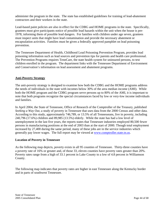administer the program in the state. The state has established guidelines for training of lead-abatement contractors and their workers in the state.

Lead-based paint policies are also in effect for the CDBG and HOME programs in the state. Specifically, grantees must give participants notice of possible lead hazards within the unit when the house is pre-1978, informing them of possible lead dangers. For families with children under age seven, grantees must inspect units that might have lead contamination and provide the necessary abatement or encapsulation activities. Families must be given a federally approved pamphlet on lead poisoning prevention.

The Tennessee Department of Health, Childhood Lead Poisoning Prevention Program, provides lead poisoning information such as lead sources and prevention tips for parents and health care professional. The Prevention Programs requires TennCare, the state health system for uninsured persons, to test children enrolled in the program. The department links with the Tennessee Department of Environment and Conservation's information on lead assessment and abatement programs.

# **Anti-Poverty Strategy**

The anti-poverty strategy is designed to examine how both the CDBG and the HOME programs address the needs of individuals in the state with incomes below 30% of the area median income (AMI). While both the HOME program and the CDBG program serve persons up to 80% of the AMI, it is important to note that both programs recognize the special circumstances faced by low or very-low income individuals and families.

In April 2004, the State of Tennessee, Office of Research of the Comptroller of the Treasury, published *Seeking a Way Out*, a study of poverty in Tennessee that uses data from the 2000 Census and other data. According to this study, approximately 746,789, or 13.5% of all Tennesseans, live in poverty, including 240,796 (17.6%) children and 89,985 (13.5%) elderly. While the state has had a low level of unemployment in the last five years, the reports states that Tennessee industries employed 80,500 fewer persons in manufacturing positions at the end of 2003 than at the start of 2000. Though total employment increased by 27,400 during the same period, many of these jobs are in the service industries which generally pay lower wages. The full report may be viewed at www.comptroller.state.tn.us.

# **Location of Poverty in Tennessee**

As the following map depicts, poverty exists in all 95 counties of Tennessee. Thirty-three counties have a poverty rate of 16% or greater and, of those 33, eleven counties have poverty rates greater than 20%. Poverty rates range from a high of 33.1 percent in Lake County to a low of 4.8 percent in Williamson County.

The following map indicates that poverty rates are higher in east Tennessee along the Kentucky border and in parts of southwest Tennessee.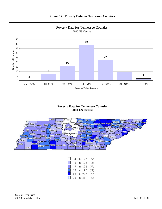

# **Poverty Data for Tennessee Counties 2000 US Census**



| $\Box$ |         | 4.8 to 9.9   | (7) |
|--------|---------|--------------|-----|
| $\Box$ | $10-10$ | to 12.9 (16) |     |
| $\Box$ | $13 -$  | to 15.9 (39) |     |
|        | 16      | to 19.9 (22) |     |
| I I    | 20      | to 29.9      | (9) |
| ₩      | 30      | to 33.1      | (2) |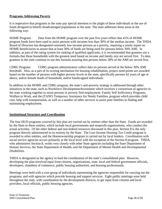### **Programs Addressing Poverty**

It is imperative that programs in the state pay special attention to the plight of these individuals in the use of funds designed to benefit disadvantaged populations in the state. The state addresses these areas in the following way:

HOME Program: Data from the HOME program over the past five years reflect that 41% of HOME program funds have been used to assist persons with incomes less than 30% of the median income. The THDA Board of Directors has designated extremely low-income persons as a priority, requiring a yearly report on HOME beneficiaries to assure that at least 30% of funds are being used for persons below 30% AMI. In addition, as part of the rating system for ranking of qualified applicants, it is recommended that grantees use a formula that those households with the greatest need based on income and family size are served first. To date, grantees in the state continue to use this formula assuring that persons below 30% of the AMI are served first.

CDBG Program: CDBG program administrators collect data on persons served at the below 30% AMI threshold. Also, as a part of its scoring mechanism for housing rehabilitation, project need points are awarded based on the number of persons with higher poverty levels in the state, specifically persons 62 years of age or above, and/or female heads of household, and/or handicapped individuals.

In addition to the HOME and CDBG program, the state's anti-poverty strategy is addressed through other initiatives in the state, such as Workforce Development/Investment which involves a consortium of agencies in the state working together to assist persons in poverty find employment. Family Self Sufficiency Programs, Welfare to Work, and the (TANF) Temporary Assistance for Needy Families, program which provides child care, help with transportation, as well as a number of other services to assist poor families in finding and maintaining employment.

#### **Institutional Structure and Coordination**

The four HUD programs covered by this plan are carried out by entities other than the State. Funds are awarded by the State to these entities, which include local governments and nonprofit organizations, who conduct the actual activities. Of the other federal and non-federal resources discussed in this plan, Section 8 is the only program directly administered in its entirety by the State. The Low-Income Housing Tax Credit program is awarded to other entities, and the Homeownership program is carried out by local lenders. Coordination with social service agencies occurs primarily at the local level with the exception of the Section 8 program. THDA, who administers Section 8, works very closely with other State agencies including the State Department of Human Services, the State Department of Health, and the Department of Mental Health and Developmental Disabilities.

THDA is designated as the agency to lead the coordination of the state's consolidated plan. However, developing the plan involved input from citizens, organizations, state, local and federal government officials, developers, chambers of commerce, public housing authorities, and housing professionals.

Meetings were held with a core group of individuals representing the agencies responsible for carrying out the programs, and with agencies which provide housing and support services. Eight public meetings were held throughout the state, with coordination by the development districts, to get input from citizens and local providers, local officials, public housing agencies.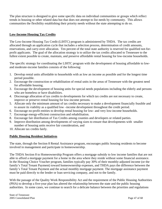The plan structure is designed to give some specific data on individual communities or groups which reflect trends in housing or other related data but that does not attempt to list needs by community. This allows communities the flexibility establishing their priority needs without the state attempting to do so.

# **Low-Income Housing Tax Credits**

The Low-Income Housing Tax Credit (LIHTC) program is administered by THDA. The tax credits are allocated through an application cycle that includes a selection process, determination of credit amounts, reservations, and carry-over allocation. Ten percent of the total state authority is reserved for qualified not-forprofit applicants. The goal of the allocation strategy is to utilize the tax credits allocated to Tennessee to the fullest extent possible to create, maintain, and preserve affordable rental housing for low-income households.

The specific strategy for coordinating the LIHTC program with the development of housing affordable to lowand moderate-income families consists of the following:

- 1. Develop rental units affordable to households with as low an income as possible and for the longest time period possible.
- 2. Encourage the construction or rehabilitation of rental units in the areas of Tennessee with the greatest need for affordable housing.
- 3. Encourage the development of housing units for special needs populations including the elderly and persons who are homeless or have disabilities.
- 4. Discourage allocation of tax credits to developments for which tax credits are not necessary to create, improve or preserve rental housing for low-income persons.
- 5. Allocate only the minimum amount of tax credits necessary to make a development financially feasible and to assure its viability as a qualified low –income development throughout the credit period.
- 6. Encourage no-profit entities to develop rental housing for low- and very low-income households.
- 7. Encourage energy-efficient construction and rehabilitation.
- 8. Encourage fair distribution of Tax Credits among counties and developers or related parties.
- 9. Improve distribution among developments of varying sizes to ensure that developments with smaller number of housing units receive fair consideration, and
- 10. Allocate tax credits fairly.

# **Public Housing Resident Initiatives**

The state, through the Section 8 Rental Assistance program, encourages public housing residents to become involved in management and participate in homeownership.

The THDA Section 8 to Homeownership Program offers a mortgage subsidy to low income families that are not able to afford a mortgage payment for a home in the area where they reside without some financial assistance. In the Housing Choice Voucher program, families typically pay 30% of their monthly-adjusted income (or the family's Total Tenant Payment) toward homeownership expenses, and THDA pays the difference between the family's Total Tenant Payment and the actual monthly mortgage payment. The mortgage assistance payment must be paid directly to the lender or loan servicing company, and not to the family.

With the passage of the Quality Work Responsibility Act and the requirement of the Public Housing Authorities (PHA) to develop a five-year plan has altered the relationship between the state and the public housing authorities. In some cases, we continue to search for a delicate balance between the priorities and regulations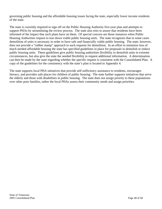governing public housing and the affordable housing issues facing the state, especially lower income residents of the state.

The state is currently required to sign off on the Public Housing Authority five-year plan and attempts to support PHAs by streamlining the review process. The state also tries to assure that residents have been informed of the impact that such plans have on them. Of special concern are those instances when Public Housing Authorities request to tear down viable public housing units. The state recognizes that in some cases demolition of units is necessary in order to have safe and financially viable public housing. The state, however, does not provide a "rubber stamp" approach to such requests for demolition. In an effort to minimize loss of much needed affordable housing the state has specified guidelines in place for proposals to demolish or reduce public housing units. These guidelines give public housing authorities flexibility to demolish units in extreme circumstances, but also give the state the needed flexibility to request additional information. A determination can then be made by the state regarding whether the specific request is consistent with the Consolidated Plan. A copy of the guidelines for the consistency with the state's plan is located in Appendix 4.

The state supports local PHA initiatives that provide self-sufficiency assistance to residents, encourages literacy, and provides safe places for children of public housing. The state further supports initiatives that serve the elderly and those with disabilities in public housing. The state does not assign priority to these populations over other poor families, rather the local PHAs assess their community needs and assign priorities.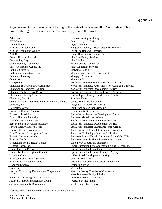# **Appendix I**

Agencies and Organizations contributing to the State of Tennessee 2005 Consolidated Plan process through participation in public meetings, committee work.

| AdvoCare                                          | Jackson Housing Authority                               |
|---------------------------------------------------|---------------------------------------------------------|
| <b>AIM Center</b>                                 | Johnson Mayor's Office                                  |
| <b>AmSouth Bank</b>                               | Joyful Care, Inc.                                       |
| <b>ARC</b> of Hamilton County                     | Kingsport Housing & Redevelopment Authority             |
| ARC of Washington County                          | LaFollette Housing Authority                            |
| <b>ARCH</b>                                       | Lamar Dunn and Associates, Inc.                         |
| <b>Bolivar Housing Authority</b>                  | <b>Life Care Family Services</b>                        |
| Brownsville, City of                              | Life Solutions                                          |
| <b>Cannon County Government</b>                   | <b>Macon County Government</b>                          |
| Carey Counseling Center, Inc.                     | <b>Magellan Health Services</b>                         |
| <b>Catholic Charities</b>                         | McKenzie, City of                                       |
| Cedarwalk Supportive Living                       | Memphis Area Assn of Governments                        |
| <b>Celebrate Recovery</b>                         | Mortgage Assurance                                      |
| Centerstone                                       | Mountain City                                           |
| CF Systems                                        | Northeast Tennessee Minority Health Coalition           |
| Chattanooga Council of Governments                | Northwest Tennessee Area Agency on Aging and Disability |
| Chattanooga Homeless Coalition                    | Northwest Tennessee Development District                |
| Chattanooga Times Free Press                      | Northwest Tennessee Human Resource Agency               |
| Children and Family Services                      | Partnership for Family, Children, and Adults            |
| Cleveland, City of                                | Promised Hope                                           |
| Coalition Against Domestic and Community Violence | Quines Mental Health Center                             |
| Comcare, inc.                                     | <b>Ridgeview Resources for Living</b>                   |
| Covington, City of                                | Scott Appalachian Industries, Inc.                      |
| <b>Crossville Housing Authority</b>               | <b>Smith County Government</b>                          |
| Damascus Road, Inc.                               | South Central Tennessee Development District            |
| Dayton Housing Authority                          | Southeast Mental Health Center                          |
| <b>Disability Resource Center</b>                 | Southeast Tennessee Development District                |
| East Tennessee Development District               | Southwest Tennessee Development District                |
| Fayette County Mayor's Office                     | Southwest Tennessee Human Resource Agency               |
| <b>Fentress County Government</b>                 | Tennessee Mental Health Consumers Association           |
| <b>First Tennessee Development District</b>       | Tennessee Technology Center at Cookeville               |
| Freewill Shelter Outreach                         | Tennessee Mental Health Consumers Assn. (West TN)       |
| <b>Frontier Health</b>                            | <b>Tennessee Small Business Development Center</b>      |
| <b>Generations Mental Health Center</b>           | United Way of Jackson, Tennessee                        |
| Genesis House, Inc.                               | Upper Cumberland Area Agency on Aging & Disabilities    |
| Grand Junction, City of                           | <b>Upper Cumberland Development District</b>            |
| Greater Nashville Regional Council                | <b>Upper Cumberland Human Resource Agency</b>           |
| <b>Hamilton County</b>                            | <b>USDA</b> , Rural Development Housing                 |
| Hamilton County Social Services                   | <b>Veterans Ministries</b>                              |
| Hawkins Habitat for Humanity                      | Vocational Rehabilitation Upper Cumberland              |
| Hope for Tennessee                                | Watauga, City of                                        |
| Hope, Inc.                                        | Waves, Inc.                                             |
| Horizon Community Development Corporation         | Weakley County Chamber of Commerce                      |
| <b>HUD</b>                                        | West Tennessee Family Solutions                         |
| Human Resource Agency, Tullahoma                  | West Tennessee Legal Services                           |
| Jackson Center for Independent Living             | Westgate Management                                     |
| <b>Jackson Community Development</b>              | White County Government                                 |

Also attending were numerous citizens from around the State.

State of Tennessee 2005 Consolidated Plan Page 49 of 68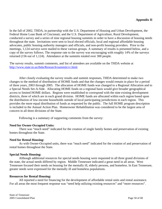In the fall of 2002, THDA, in partnership with the U.S. Department of Housing and Urban Development, the Federal Home Loan Bank of Cincinnati, and the U.S. Department of Agriculture, Rural Development, conducted a survey and a series of nine regional housing summits in order to have a discussion of housing needs throughout the state. Invitations were sent to local elected officials, local and regional affordable housing advocates, public housing authority managers and officials, and non-profit housing providers. Prior to the meetings, 1,124 surveys were mailed to these various groups. A summary of results is presented below, and a copy of the survey follows. The response rate to the survey was encouraging with roughly 14% of the surveys returned (156 out of 1,124). Attendance at the summits totaled over 300 people.

The survey results, summit comments, and list of attendees are available on the THDA website at http://www.state.tn.us/thda/Research/summitcvr.html.

After closely evaluating the survey results and summit responses, THDA determined to make two changes to the method of distribution of HOME funds and that the changes would remain in place for a period of three years, 2003 through 2005. The allocation of HOME funds was changed to a Regional Allocation and to a Special Needs Set-A-Side. Allocating HOME funds on a regional basis would give broader geographical access to limited HOME dollars. Regions were established to correspond with the nine existing development districts, three of which are in each grand division. HOME funds are allocated within each region based upon the distribution of low-income households outside of local participating jurisdictions in each region. This provides the more equal distribution of funds as requested by the public. The full HOME program description is included in the Annual Action Plan. Homeowner Rehabilitation was considered to be the largest area of concern in all three divisions of the State.

Following is a summary of supporting comments from the survey:

# **Need for Owner-Occupied Units:**

 There was "much need" indicated for the creation of single family homes and preservation of existing homes throughout the State.

# **Need for Rental Housing:**

 As with Owner-Occupied units, there was "much need" indicated for the creation of and preservation of rental homes throughout the State.

# **Special Needs Housing:**

 Although additional resources for special needs housing were requested in all three grand divisions of the state, the actual needs differed by region. Middle Tennessee indicated a great need in all areas. West Tennessee focused their needs on housing for the mentally ill, elderly persons, and homeless. In East Tennessee, greater needs were expressed for the mentally ill and homeless populations.

# **Resources for Rental Housing:**

 All reported a need for financing for the development of affordable rental units and rental assistance. For all areas the most frequent response was "need help utilizing existing resources" and "more resources".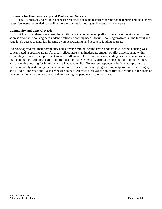#### **Resources for Homeownership and Professional Services**:

 East Tennessee and Middle Tennessee reported adequate resources for mortgage lenders and developers; West Tennessee responded to needing more resources for mortgage lenders and developers.

#### **Community and General Needs:**

 All reported there was a need for additional capacity to develop affordable housing, regional efforts to address affordable housing needs, identification of housing needs, flexible housing programs at the federal and state level, access to data, fair housing awareness/training, and access to funding sources.

Everyone agreed that their community had a diverse mix of income levels and that low-income housing was concentrated in specific areas. All areas reflect there is an inadequate amount of affordable housing within commuting distance to employment sources. All areas believe that predatory lending is somewhat a problem in their community. All areas agree opportunities for homeownership, affordable housing for migrant workers, and affordable housing for immigrants are inadequate. East Tennessee respondents believe non-profits are in their community addressing the most important needs and are developing housing in appropriate price ranges; and Middle Tennessee and West Tennessee do not. All three areas agree non-profits are working in the areas of the community with the most need and are serving the people with the most need.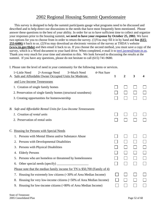# 2002 Regional Housing Summit Questionnaire

This survey is designed to help the summit participants gauge what programs need to be discussed and described and to help direct our discussions to the needs that have most frequently been mentioned. Please answer these questions to the best of your ability. In order for us to have sufficient time to collect and organize your responses prior to the housing summit, **we need to have your response by October 25, 2002.** We have two options for you to choose from in order to return the survey. (1)You may fill it in by hand and **fax (615- 253-6406)** it back to us. (2)You may download an electronic version of the survey at THDA's website **(www.tn.gov/thda)** and then email it back to us. If you choose the second method, you must save a copy of the survey, which is a Word document to your hard drive. When completed, e-mail it to terri.jaynes@state.tn.us. Thank you very much for your time and attention to this. We look forward to discussing the results at the summit. If you have any questions, please do not hesitate to call (615) 741-9680.

I. Please rate the level of need in your community for the following items or services.

| 4=Not Sure<br>1=Little Need<br>2=Average Need<br>3=Much Need<br>A. Safe and Affordable Owner Occupied Units for Moderate | 1 | 2 | 3 | 4 |
|--------------------------------------------------------------------------------------------------------------------------|---|---|---|---|
| and Low-Income Tennesseans                                                                                               |   |   |   |   |
| 1. Creation of single family homes                                                                                       |   |   |   |   |
| 2. Preservation of single family homes (structural soundness)                                                            |   |   |   |   |
| 3. Creating opportunities for homeownership                                                                              |   |   |   |   |
| B. Safe and Affordable Rental Units for Low-Income Tennesseans                                                           |   |   |   |   |
| 1. Creation of rental units                                                                                              |   |   |   |   |
| 2. Preservation of rental units                                                                                          |   |   |   |   |
| C. Housing for Persons with Special Needs                                                                                |   |   |   |   |
| 1. Persons with Mental Illness and/or Substance Abuse                                                                    |   |   |   |   |
| Persons with Developmental Disabilities<br>2.                                                                            |   |   |   |   |
| Persons with Physical Disabilities<br>3.                                                                                 |   |   |   |   |
| <b>Elderly Persons</b><br>4.                                                                                             |   |   |   |   |
| 5. Persons who are homeless or threatened by homelessness                                                                |   |   |   |   |
| 6.                                                                                                                       |   |   |   |   |
| Please note that the median family income for TN is $$50,700$ (Family of 4)                                              |   |   |   |   |
| Housing for extremely low citizens (<30% of Area Median Income)<br>7.                                                    |   |   |   |   |
| Housing for very low-income citizens (<50% of Area Median Income)<br>8.                                                  |   |   |   |   |
| 9. Housing for low-income citizens (<80% of Area Median Income)                                                          |   |   |   |   |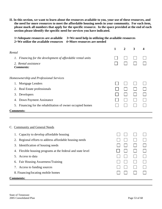**II. In this section, we want to learn about the resources available to you, your use of these resources, and the need for more resources to meet the affordable housing needs in your community. For each item, please mark all numbers that apply for the specific resource. In the space provided at the end of each**  section please identify the specific need for services you have indicated.

| 1=Adequate resources are available                                     | 3=We need help in utilizing the available resources |
|------------------------------------------------------------------------|-----------------------------------------------------|
| $2=$ We utilize the available resources $4=$ More resources are needed |                                                     |

|                                                                | 1 | $\overline{2}$ | 3 |  |
|----------------------------------------------------------------|---|----------------|---|--|
| Rental                                                         |   |                |   |  |
| 1. Financing for the development of affordable rental units    |   |                |   |  |
| 2. Rental assistance<br><b>Comments:</b>                       |   |                |   |  |
| Homeownership and Professional Services                        |   |                |   |  |
| Mortgage Lenders<br>1.                                         |   |                |   |  |
| 2. Real Estate professionals                                   |   |                |   |  |
| Developers<br>3.                                               |   |                |   |  |
| Down Payment Assistance<br>4.                                  |   |                |   |  |
| Financing for the rehabilitation of owner occupied homes<br>5. |   |                |   |  |
| <u>Comments:</u>                                               |   |                |   |  |
|                                                                |   |                |   |  |
|                                                                |   |                |   |  |
| C. Community and General Needs                                 |   |                |   |  |
| Capacity to develop affordable housing<br>1.                   |   |                |   |  |
| Regional efforts to address affordable housing needs<br>2.     |   |                |   |  |
| Identification of housing needs<br>3.                          |   |                |   |  |
| Flexible housing programs at the federal and state level<br>4. |   |                |   |  |

- 5. Access to data
- 6. Fair Housing Awareness/Training
- 7. Access to funding sources
- 8. Financing/locating mobile homes

#### **Comments:**

 $\Box$ 

 $\Box$ 

 $\Box$ 

 $\Box$ 

 $\mathbb{R}^n$ 

 $\Box$ 

 $\Box$ 

 $\Box$ 

 $\Box$ 

 $\Box$ 

 $\Box$ 

 $\Box$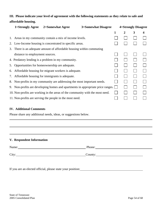# **III. Please indicate your level of agreement with the following statements as they relate to safe and affordable housing.**

|    | 1=Strongly Agree                | 2=Somewhat Agree                                                              | <b>3=Somewhat Disagree</b> |   | 4=Strongly Disagree |   |   |
|----|---------------------------------|-------------------------------------------------------------------------------|----------------------------|---|---------------------|---|---|
|    |                                 |                                                                               |                            | 1 | 2                   | 3 | 4 |
|    |                                 | 1. Areas in my community contain a mix of income levels.                      |                            |   |                     |   |   |
| 2. |                                 | Low-Income housing is concentrated in specific areas.                         |                            |   |                     |   |   |
| 3. |                                 | There is an adequate amount of affordable housing within commuting            |                            |   |                     |   |   |
|    | distance to employment sources. |                                                                               |                            |   |                     |   |   |
|    |                                 | 4. Predatory lending is a problem in my community.                            |                            |   |                     |   |   |
| 5. |                                 | Opportunities for homeownership are adequate.                                 |                            |   |                     |   |   |
| 6. |                                 | Affordable housing for migrant workers is adequate.                           |                            |   |                     |   |   |
| 7. |                                 | Affordable housing for immigrants is adequate.                                |                            |   |                     |   |   |
| 8. |                                 | Non-profits in my community are addressing the most important needs.          |                            |   |                     |   |   |
| 9. |                                 | Non-profits are developing homes and apartments in appropriate price ranges.  |                            |   |                     |   |   |
|    |                                 | 10. Non-profits are working in the areas of the community with the most need. |                            |   |                     |   |   |
|    |                                 | 11. Non-profits are serving the people in the most need.                      |                            |   |                     |   |   |
|    |                                 |                                                                               |                            |   |                     |   |   |

# **IV. Additional Comments**

Please share any additional needs, ideas, or suggestions below.

# **V. Respondent Information**

| Name: | Phone:           |
|-------|------------------|
| City: | $\text{Country}$ |

If you are an elected official, please state your position: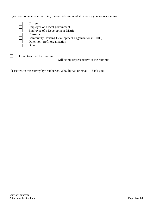If you are not an elected official, please indicate in what capacity you are responding.

| Citizen                                                  |
|----------------------------------------------------------|
| Employee of a local government                           |
| <b>Employee of a Development District</b>                |
| Consultant                                               |
| <b>Community Housing Development Organization (CHDO)</b> |
| Other non-profit organization                            |
| Other                                                    |
|                                                          |

I plan to attend the Summit.

will be my representative at the Summit.

Please return this survey by October 25, 2002 by fax or email. Thank you!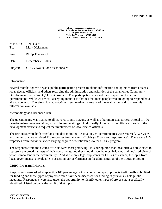**Office of Program Management William R. Snodgrass Tennessee Tower, 10th Floor 312 Eighth Avenue North Nashville, Tennessee 37243-0405 615-741-6201 Voice/TDD / FAX: 615-253-1870** 

M E M O R A N D U M

| To:<br>Mary McLennan |  |
|----------------------|--|
|----------------------|--|

| From: | Philip Trauernicht |
|-------|--------------------|
|       |                    |

Date: December 29, 2004

Subject: CDBG Evaluation Questionnaire

# Introduction

Several months ago we began a public participation process to obtain information and opinions from citizens, local elected officials, and others regarding the administration and priorities of the small cities Community Development Block Grant (CDBG) program. This participation involved the completion of a written questionnaire. While we are still accepting input, it is obvious that most people who are going to respond have already done so. Therefore, it is appropriate to summarize the results of the evaluation, and to make this information available.

#### Methodology and Response Rate

The questionnaire was mailed to all mayors, county mayors, as well as other interested parties. A total of 700 questionnaires were sent along with follow-up mailings. Additionally, I met with the officials of each of the development districts to request the involvement of local elected officials.

The responses were both satisfying and disappointing. A total of 234 questionnaires were returned. We were encouraged that we received 118 responses from elected officials (a 51 percent response rate). There were 116 responses from individuals with varying degrees of relationships to the CDBG program.

The responses from the elected officials were most gratifying. It is our opinion that local officials are elected to represent the broad interests of their constituents, and they should have the most balanced and unbiased view of what is important in their community. And as the only legal applicants for CDBG assistance, the input from local governments is invaluable in assessing our performance in the administration of the CDBG program.

#### **CDBG Program Priorities**

Respondents were asked to apportion 100 percentage points among the type of projects traditionally submitted for funding and those types of projects which have been discussed for funding in previously held public meetings. Respondents were also given the opportunity to identify other types of projects not specifically identified. Listed below is the result of that input.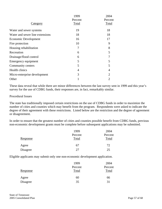|                                 | 1999    | 2004    |
|---------------------------------|---------|---------|
|                                 | Percent | Percent |
| <b>Category</b>                 | Total   | Total   |
| Water and sewer systems         | 19      | 18      |
| Water and sewer line extensions | 18      | 18      |
| Economic Development            | 16      | 17      |
| Fire protection                 | 10      | 9       |
| Housing rehabilitation          | 7       | 8       |
| Recreation                      | 6       | 5       |
| Drainage/flood control          | 6       |         |
| Emergency equipment             | 5       | 5       |
| Community centers               | 5       | 5       |
| Health clinics                  | 4       | 4       |
| Micro-enterprise development    | 3       | 2       |
| Other                           |         | 2       |

These data reveal that while there are minor differences between the last survey sent in 1999 and this year's survey for the use of CDBG funds, their responses are, in fact, remarkably similar.

#### Procedural Issues

The state has traditionally imposed certain restrictions on the use of CDBG funds in order to maximize the number of cities and counties which may benefit from the program. Respondents were asked to indicate the degree of their agreement with these restrictions. Listed below are the restriction and the degree of agreement or disagreement.

In order to ensure that the greatest number of cities and counties possible benefit from CDBG funds, previous non-economic development grants must be complete before subsequent applications may be submitted.

|                 | 1999    | 2004    |
|-----------------|---------|---------|
|                 | Percent | Percent |
| <b>Response</b> | Total   | Total   |
| Agree           | 67      | 72      |
| Disagree        | 27      | 25      |

Eligible applicants may submit only one non-economic development application.

|          | 1999    | 2004    |
|----------|---------|---------|
|          | Percent | Percent |
| Response | Total   | Total   |
| Agree    | 60      | 66      |
| Disagree | 35      | 31      |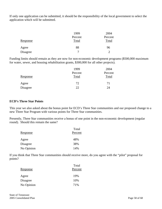If only one application can be submitted, it should be the responsibility of the local government to select the application which will be submitted.

|          | 1999    | 2004    |
|----------|---------|---------|
|          | Percent | Percent |
| Response | Total   | Total   |
| Agree    | 88      | 96      |
| Disagree |         | ◠       |

Funding limits should remain as they are now for non-economic development programs (\$500,000 maximum for water, sewer, and housing rehabilitation grants, \$300,000 for all other projects).

|                 | 1999    | 2004    |
|-----------------|---------|---------|
|                 | Percent | Percent |
| <u>Response</u> | Total   | Total   |
| Agree           | 72      | 71      |
| Disagree        | 22      | 24      |

#### **ECD's Three Star Points**

This year we also asked about the bonus point for ECD's Three Star communities and our proposed change to a new Three Star Program with various points for Three Star communities.

Presently, Three Star communities receive a bonus of one point in the non-economic development (regular round). Should this remain the same?

|                 | Total   |
|-----------------|---------|
| <u>Response</u> | Percent |
| Agree           | 48%     |
| Disagree        | 38%     |
| No Opinion      | 14%     |

If you think that Three Star communities should receive more, do you agree with the "pilot" proposal for points?

| Response   | Total<br>Percent |
|------------|------------------|
| Agree      | 19%              |
| Disagree   | 10%              |
| No Opinion | 71%              |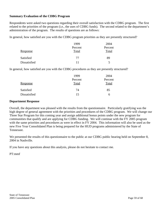### **Summary Evaluation of the CDBG Program**

Respondents were asked two questions regarding their overall satisfaction with the CDBG program. The first related to the priorities of the program (i.e., the uses of CDBG funds). The second related to the department's administration of the program. The results of questions are as follows:

In general, how satisfied are you with the CDBG program priorities as they are presently structured?

|              | 1999    | 2004    |  |
|--------------|---------|---------|--|
|              | Percent | Percent |  |
| Response     | Total   | Total   |  |
| Satisfied    | 77      | 89      |  |
| Dissatisfied | 11      | ↖       |  |

In general, how satisfied are you with the CDBG procedures as they are presently structured?

|                 | 1999    | 2004    |
|-----------------|---------|---------|
|                 | Percent | Percent |
| <b>Response</b> | Total   | Total   |
| Satisfied       | 74      | 85      |
| Dissatisfied    | 15      | h       |

#### **Department Response**

Overall, the department was pleased with the results from the questionnaire. Particularly gratifying was the high degree of general agreement with the priorities and procedures of the CDBG program. We will change our Three Star Program for this coming year and assign additional bonus points under the new program for communities that qualify and are applying for CDBG funding. We will continue with the FY 2005 program with the same priorities and procedures as were in effect in FY 2004. This information will also be used as the new Five Year Consolidated Plan is being prepared for the HUD programs administered by the State of Tennessee.

We presented the results of this questionnaire to the public at our CDBG public hearing held on September 8, 2004 in Nashville.

If you have any questions about this analysis, please do not hesitate to contact me.

PT:mmf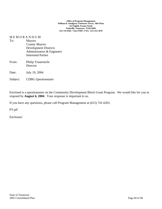#### **Office of Program Management William R. Snodgrass Tennessee Tower, 10th Floor 312 Eighth Avenue North Nashville, Tennessee 37243-0405 615-741-6201 Voice/TDD / FAX: 615-253-1870**

# M E M O R A N D U M

| To:      | <b>Mayors</b>                  |
|----------|--------------------------------|
|          | <b>County Mayors</b>           |
|          | <b>Development Districts</b>   |
|          | Administrators & Engineers     |
|          | <b>Interested Parties</b>      |
| From:    | Philip Trauernicht<br>Director |
| Date:    | July 19, 2004                  |
| Subject: | <b>CDBG</b> Questionnaire      |

Enclosed is a questionnaire on the Community Development Block Grant Program. We would like for you to respond by **August 6, 2004**. Your response is important to us.

If you have any questions, please call Program Management at (615) 741-6201.

PT:plf

Enclosure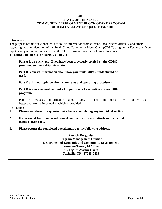#### **2005**

# **STATE OF TENNESSEE COMMUNITY DEVELOPMENT BLOCK GRANT PROGRAM PROGRAM EVALUATION QUESTIONNAIRE**

Introduction

The purpose of this questionnaire is to solicit information from citizens, local elected officials, and others regarding the administration of the Small Cities Community Block Grant (CDBG) program in Tennessee. Your input is very important to ensure that the CDBG program continues to meet local needs. **This questionnaire is in 5 parts, as follows:** 

 **Part A is an overview. If you have been previously briefed on the CDBG program, you may skip this section.** 

 **Part B requests information about how you think CDBG funds should be used.** 

 **Part C asks your opinion about state rules and operating procedures.** 

 **Part D is more general, and asks for your overall evaluation of the CDBG program.** 

 Part E requests information about you. This information will allow us to better analyze the information which is provided.

**Instructions** 

**1. Please read the entire questionnaire before completing any individual section.** 

- **2. If you would like to make additional comments, you may attach supplemental pages as necessary.**
- **3. Please return the completed questionnaire to the following address.**

**Patricia Bergquist Program Management Division Department of Economic and Community Development Tennessee Tower, 10<sup>th</sup> Floor 312 Eighth Avenue North Nashville, TN 37243-0405**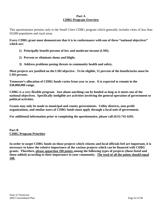### **Part A CDBG Program Overview**

This questionnaire pertains only to the Small Cities CDBG program which generally includes cities of less than 50,000 population and rural areas.

**Every CDBG grant must demonstrate that it is in conformance with one of three "national objectives" which are:** 

- **1) Principally benefit persons of low and moderate income (LMI).**
- **2) Prevent or eliminate slums and blight.**
- **3) Address problems posing threats to community health and safety.**

**Most projects are justified on the LMI objective. To be eligible, 51 percent of the beneficiaries must be LMI persons.** 

**Tennessee's allocation of CDBG funds varies from year to year. It is expected to remain in the \$30,000,000 range.** 

**CDBG is a very flexible program. Just about anything can be funded as long as it meets one of the national objectives. Specifically ineligible are activities involving the general operation of government or political activities.** 

**Grants may only be made to municipal and county governments. Utility districts, non-profit organizations, and similar users of CDBG funds must apply through a local unit of government.** 

**For additional information prior to completing the questionnaire, please call (615) 741-6201.** 

**Part B CDBG Program Priorities**

**In order to target CDBG funds on those projects which citizens and local officials feel are important, it is necessary to know the relative importance of the various projects which can be financed with CDBG grants. Therefore, please apportion 100 points among the following types of projects (those listed and those added) according to their importance to your community. The total of all the points should equal 100.**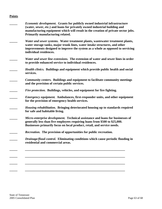#### **Points**

**\_\_\_\_\_** *Economic development***. Grants for publicly owned industrial infrastructure (water, sewer, etc.) and loans for privately owned industrial building and manufacturing equipment which will result in the creation of private sector jobs. Primarily manufacturing related. \_\_\_\_\_** *Water and sewer systems.* **Water treatment plants, wastewater treatment plants, water storage tanks, major trunk lines, water intake structures, and other improvements designed to improve the system as a whole as opposed to servicing individual residences. \_\_\_\_\_** *Water and sewer line extensions.* **The extension of water and sewer lines in order to provide enhanced service to individual residences. \_\_\_\_\_** *Health clinics.* **Buildings and equipment which provide public health and social services. \_\_\_\_\_** *Community centers.* **Buildings and equipment to facilitate community meetings and the provision of certain public services. \_\_\_\_\_** *Fire protection.* **Buildings, vehicles, and equipment for fire fighting. \_\_\_\_\_** *Emergency equipment.* **Ambulances, first-responder units, and other equipment for the provision of emergency health services. \_\_\_\_\_** *Housing rehabilitation.* **Bringing deteriorated housing up to standards required for safe and habitable living. \_\_\_\_\_** *Micro-enterprise development.* **Technical assistance and loans for businesses of generally less than five employees requiring loans from \$500 to \$25,000. Businesses primarily focus on local product, retail, and service needs. \_\_\_\_\_** *Recreation.* **The provision of opportunities for public recreation. \_\_\_\_\_** *Drainage/flood control.* **Eliminating conditions which cause periodic flooding in residential and commercial areas. \_\_\_\_\_** *\_\_\_\_\_\_\_\_\_\_\_\_\_\_\_\_\_\_\_\_\_\_\_\_\_\_\_\_\_\_\_\_\_\_\_\_\_\_\_\_\_\_\_\_\_\_\_\_\_\_\_\_\_\_\_\_\_\_\_\_\_\_\_*  **\_\_\_\_\_** *\_\_\_\_\_\_\_\_\_\_\_\_\_\_\_\_\_\_\_\_\_\_\_\_\_\_\_\_\_\_\_\_\_\_\_\_\_\_\_\_\_\_\_\_\_\_\_\_\_\_\_\_\_\_\_\_\_\_\_\_\_\_\_*  **\_\_\_\_\_** *\_\_\_\_\_\_\_\_\_\_\_\_\_\_\_\_\_\_\_\_\_\_\_\_\_\_\_\_\_\_\_\_\_\_\_\_\_\_\_\_\_\_\_\_\_\_\_\_\_\_\_\_\_\_\_\_\_\_\_\_\_\_\_*  **\_\_\_\_\_** *\_\_\_\_\_\_\_\_\_\_\_\_\_\_\_\_\_\_\_\_\_\_\_\_\_\_\_\_\_\_\_\_\_\_\_\_\_\_\_\_\_\_\_\_\_\_\_\_\_\_\_\_\_\_\_\_\_\_\_\_\_\_\_*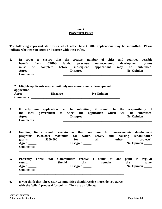# **Part C Procedural Issues**

**The following represent state rules which affect how CDBG applications may be submitted. Please indicate whether you agree or disagree with these rules.** 

- **1. In order to ensure that the greatest number of cities and counties possible benefit from CDBG funds, previous non-economic development grants must be complete before subsequent applications may be submitted. Agree \_\_\_\_\_ Disagree \_\_\_\_\_ No Opinion \_\_\_\_\_ Comments: \_\_\_\_\_\_\_\_\_\_\_\_\_\_\_\_\_\_\_\_\_\_\_\_\_\_\_\_\_\_\_\_\_\_\_\_\_\_\_\_\_\_\_\_\_\_\_\_\_\_\_\_\_\_\_\_ \_\_\_\_\_\_\_\_\_\_\_\_\_\_\_\_\_\_\_\_\_\_\_\_\_\_\_\_\_\_\_\_\_\_\_\_\_\_\_\_\_\_\_\_\_\_\_\_\_\_\_\_\_\_\_\_\_\_\_\_\_\_\_\_\_\_** 
	- **2. Eligible applicants may submit only one non-economic development application.**  Agree \_\_\_\_\_ Disagree \_\_\_\_ No Opinion \_\_\_\_ **Comments: \_\_\_\_\_\_\_\_\_\_\_\_\_\_\_\_\_\_\_\_\_\_\_\_\_\_\_\_\_\_\_\_\_\_\_\_\_\_\_\_\_\_\_\_\_\_\_\_\_\_\_\_\_\_\_\_\_\_\_\_\_\_\_\_\_\_**

 **\_\_\_\_\_\_\_\_\_\_\_\_\_\_\_\_\_\_\_\_\_\_\_\_\_\_\_\_\_\_\_\_\_\_\_\_\_\_\_\_\_\_\_\_\_\_\_\_\_\_\_\_\_\_\_\_\_\_\_\_\_\_\_\_\_\_** 

 **\_\_\_\_\_\_\_\_\_\_\_\_\_\_\_\_\_\_\_\_\_\_\_\_\_\_\_\_\_\_\_\_\_\_\_\_\_\_\_\_\_\_\_\_\_\_\_\_\_\_\_\_\_\_\_\_\_\_\_\_\_\_\_\_\_\_** 

- **3. If only one application can be submitted, it should be the responsibility of the local government to select the application which will be submitted.**  Agree \_\_\_\_\_ **Disagree \_\_\_\_** No Opinion \_\_\_\_  **Comments: \_\_\_\_\_\_\_\_\_\_\_\_\_\_\_\_\_\_\_\_\_\_\_\_\_\_\_\_\_\_\_\_\_\_\_\_\_\_\_\_\_\_\_\_\_\_\_\_\_\_\_\_\_\_\_\_**
- **4. Funding limits should remain as they are now for non-economic development programs (\$500,000 maximum for water, sewer, and housing rehabilitation grants, \$300,000 for all other projects).**  Agree **2020 CONFIDENT CONSUMPLE CONSUMPLE CONSUMPLE CONSUMPLE CONSUMPLE CONSUMPLE CONSUMPLE CONSUMPLE CONSUMPLE CONSUMPLE CONSUMPLE CONSUMPLE CONSUMPLE CONSUMPLE CONSUMPLE CONSUMPLE CONSUMPLE CONSUMPLE CONSUMPLE CONSUMPL Comments: \_\_\_\_\_\_\_\_\_\_\_\_\_\_\_\_\_\_\_\_\_\_\_\_\_\_\_\_\_\_\_\_\_\_\_\_\_\_\_\_\_\_\_\_\_\_\_\_\_\_\_\_\_\_\_\_**
- **5. Presently Three Star Communities receive a bonus of one point in regular round.** Should this remain the same.  **Agree \_\_\_\_\_ Disagree \_\_\_\_\_ No Opinion \_\_\_\_\_ Comments: \_\_\_\_\_\_\_\_\_\_\_\_\_\_\_\_\_\_\_\_\_\_\_\_\_\_\_\_\_\_\_\_\_\_\_\_\_\_\_\_\_\_\_\_\_\_\_\_\_\_\_\_\_\_\_\_ \_\_\_\_\_\_\_\_\_\_\_\_\_\_\_\_\_\_\_\_\_\_\_\_\_\_\_\_\_\_\_\_\_\_\_\_\_\_\_\_\_\_\_\_\_\_\_\_\_\_\_\_\_\_\_\_\_\_\_\_\_\_\_\_\_\_**
- **6. If you think that Three Star Communities should receive more, do you agree with the "pilot" proposal for points. They are as follows:**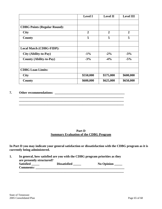|                                     | <b>Level I</b> | <b>Level II</b> | <b>Level III</b> |
|-------------------------------------|----------------|-----------------|------------------|
|                                     |                |                 |                  |
| <b>CDBG Points (Regular Round):</b> |                |                 |                  |
| <b>City</b>                         | $\overline{2}$ | $\overline{2}$  | $\overline{2}$   |
| County                              | 5              | 5               | 5                |
|                                     |                |                 |                  |
| <b>Local Match (CDBG-FIDP):</b>     |                |                 |                  |
| City (Ability-to-Pay)               | $-1\%$         | $-2\%$          | $-3\%$           |
| <b>County (Ability-to-Pay)</b>      | $-3%$          | $-4%$           | $-5%$            |
|                                     |                |                 |                  |
| <b>CDBG</b> Loan Limits:            |                |                 |                  |
| <b>City</b>                         | \$550,000      | \$575,000       | \$600,000        |
| County                              | \$600,000      | \$625,000       | \$650,000        |

#### **7. Other recommendations: \_\_\_\_\_\_\_\_\_\_\_\_\_\_\_\_\_\_\_\_\_\_\_\_\_\_\_\_\_\_\_\_\_\_\_\_\_\_\_\_\_\_\_\_**

#### **Part D Summary Evaluation of the CDBG Program**

**\_\_\_\_\_\_\_\_\_\_\_\_\_\_\_\_\_\_\_\_\_\_\_\_\_\_\_\_\_\_\_\_\_\_\_\_\_\_\_\_\_\_\_\_\_\_\_\_\_\_\_\_\_\_\_\_\_\_\_\_\_\_\_\_\_\_** 

**In Part D you may indicate your general satisfaction or dissatisfaction with the CDBG program as it is currently being administered.** 

| are presently structured? | In general, how satisfied are you with the CDBG program priorities as they |                   |
|---------------------------|----------------------------------------------------------------------------|-------------------|
| <b>Satisfied</b>          | <b>Dissatisfied</b>                                                        | $\bf{No}$ Opinion |
| <b>Comments:</b>          |                                                                            |                   |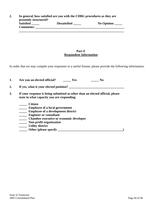| In general, how satisfied are you with the CDBG procedures as they are<br>presently structured? |                     |                   |  |  |
|-------------------------------------------------------------------------------------------------|---------------------|-------------------|--|--|
| Satisfied                                                                                       | <b>Dissatisfied</b> | $\bf{No}$ Opinion |  |  |
| <b>Comments:</b>                                                                                |                     |                   |  |  |

# **Part E Respondent Information**

In order that we may compile your responses in a useful format, please provide the following information:

|    | Are you an elected official?<br>Yes<br>N <sub>0</sub>                                                                                                                                                                                         |  |  |  |  |
|----|-----------------------------------------------------------------------------------------------------------------------------------------------------------------------------------------------------------------------------------------------|--|--|--|--|
| 2. | If yes, what is your elected position?                                                                                                                                                                                                        |  |  |  |  |
| 3. | If your response is being submitted as other than an elected official, please<br>state in what capacity you are responding.                                                                                                                   |  |  |  |  |
|    | <b>Citizen</b><br><b>Employee of a local government</b><br><b>Employee of a development district</b><br><b>Engineer or consultant</b><br><b>Chamber executive or economic developer</b><br>Non-profit organization<br><b>Utility district</b> |  |  |  |  |

|  |  | Other (please specify) |  |  |  |
|--|--|------------------------|--|--|--|
|--|--|------------------------|--|--|--|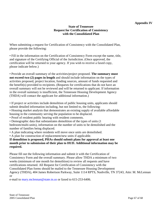# **Appendix IV**

#### **State of Tennessee Request for Certification of Consistency with the Consolidated Plan**

When submitting a request for Certification of Consistency with the Consolidated Plan, please provide the following:

• Fill in the information on the Certification of Consistency Form except the name, title, and signature of the Certifying Official of the Jurisdiction. (Once approved, the certification will be returned to your agency. If you wish to receive a faxed copy, please indicate below.)

• Provide an overall summary of the activities/project proposed. **The summary must not exceed two (2) pages in length** and should include information on the types of activities proposed, project location, funding sources, amount of funds requested and the benefit(s) provided to recipients. (Requests for certifications that do not have an overall summary will not be reviewed and will be returned to applicant. If information in the overall summary is insufficient, the Tennessee Housing Development Agency (THDA) will contact the applicant for additional information.)

• If project or activities include demolition of public housing units, applicants should submit detailed information including, but not limited to, the following:

• Housing market analysis that demonstrates an existing supply of available affordable housing in the community serving the population to be displaced.

- Proof of resident public hearing with resident comments.
- Demographic data that substantiates demolition of the types of units (1

bedroom/multi-units), information on the number of units to be demolished and the number of families being displaced.

• A plan indicating where residents will move once units are demolished.

• A plan for construction of replacement/new units if applicable.

# **If demolition is proposed, PHAs should submit plans for approval at least one month prior to submission of their plan to HUD. Additional information may be required.**

Please fill out the following information and submit it with the Certification of Consistency Form and the overall summary. Please allow THDA a minimum of two weeks (minimum of one month for demolition) to review all requests and have certifications returned. All Request for Certification of Consistency with the Consolidated Plan forms should be mailed to the Tennessee Housing Development Agency (THDA), 404 James Robertson Parkway, Suite 1114 RPTS, Nashville, TN 37243, Attn: M. McLennan or

e-mail to mary.mclennan@state.tn.us or faxed to 615-253-6406.